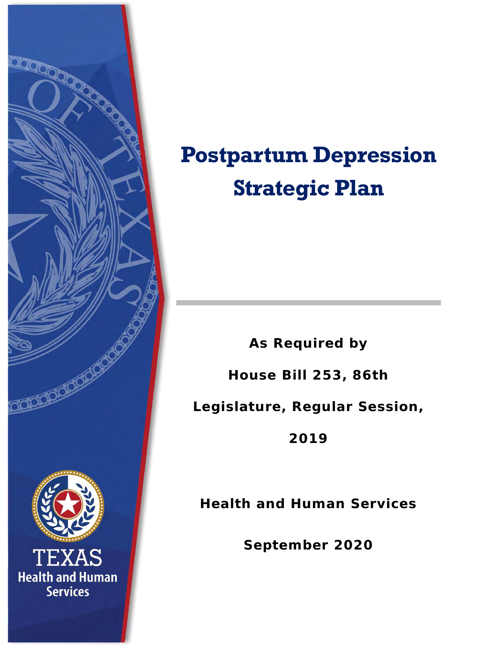

# **Postpartum Depression Strategic Plan**

**As Required by House Bill 253, 86th Legislature, Regular Session, 2019**

**Health and Human Services**

**September 2020**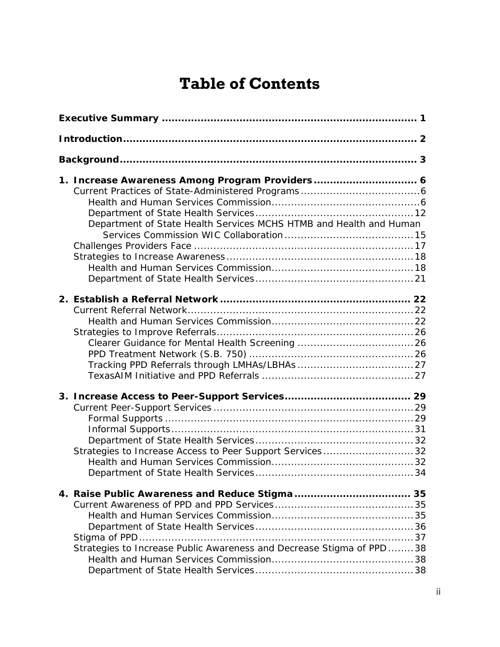### **Table of Contents**

| Department of State Health Services MCHS HTMB and Health and Human   |  |
|----------------------------------------------------------------------|--|
|                                                                      |  |
| Strategies to Increase Access to Peer Support Services32             |  |
| Strategies to Increase Public Awareness and Decrease Stigma of PPD38 |  |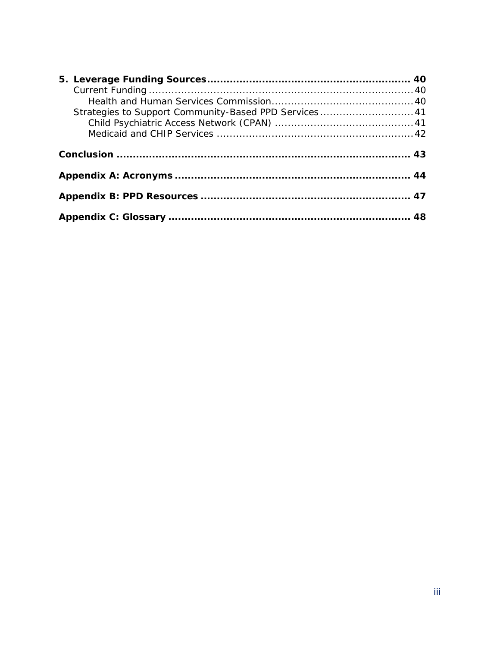| Strategies to Support Community-Based PPD Services 41 |  |
|-------------------------------------------------------|--|
|                                                       |  |
|                                                       |  |
|                                                       |  |
|                                                       |  |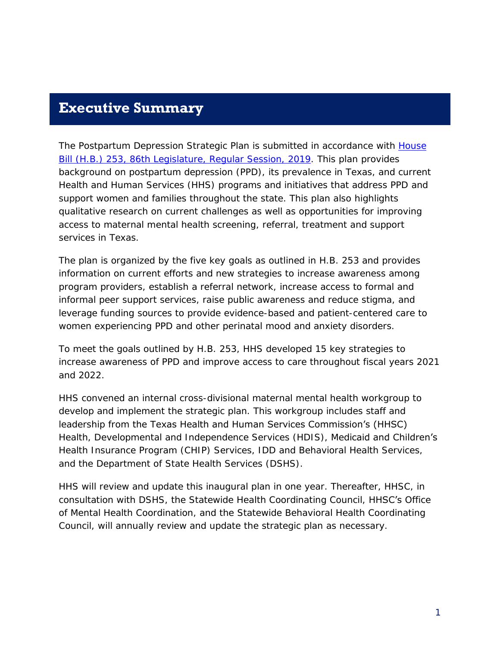#### <span id="page-3-0"></span>**Executive Summary**

The *Postpartum Depression Strategic Plan* is submitted in accordance with [House](https://capitol.texas.gov/BillLookup/History.aspx?LegSess=86R&Bill=HB253)  [Bill \(H.B.\) 253, 86th Legislature,](https://capitol.texas.gov/BillLookup/History.aspx?LegSess=86R&Bill=HB253) Regular Session, 2019. This plan provides background on postpartum depression (PPD), its prevalence in Texas, and current Health and Human Services (HHS) programs and initiatives that address PPD and support women and families throughout the state. This plan also highlights qualitative research on current challenges as well as opportunities for improving access to maternal mental health screening, referral, treatment and support services in Texas.

The plan is organized by the five key goals as outlined in H.B. 253 and provides information on current efforts and new strategies to increase awareness among program providers, establish a referral network, increase access to formal and informal peer support services, raise public awareness and reduce stigma, and leverage funding sources to provide evidence-based and patient-centered care to women experiencing PPD and other perinatal mood and anxiety disorders.

To meet the goals outlined by H.B. 253, HHS developed 15 key strategies to increase awareness of PPD and improve access to care throughout fiscal years 2021 and 2022.

HHS convened an internal cross-divisional maternal mental health workgroup to develop and implement the strategic plan. This workgroup includes staff and leadership from the Texas Health and Human Services Commission's (HHSC) Health, Developmental and Independence Services (HDIS), Medicaid and Children's Health Insurance Program (CHIP) Services, IDD and Behavioral Health Services, and the Department of State Health Services (DSHS).

HHS will review and update this inaugural plan in one year. Thereafter, HHSC, in consultation with DSHS, the Statewide Health Coordinating Council, HHSC's Office of Mental Health Coordination, and the Statewide Behavioral Health Coordinating Council, will annually review and update the strategic plan as necessary.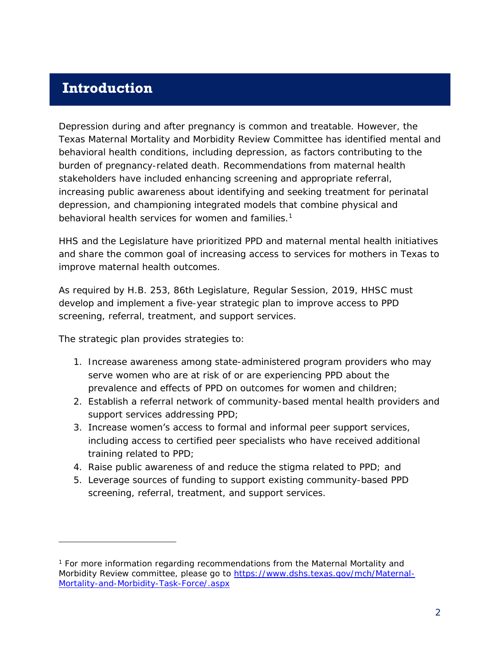### <span id="page-4-0"></span>**Introduction**

Depression during and after pregnancy is common and treatable. However, the Texas Maternal Mortality and Morbidity Review Committee has identified mental and behavioral health conditions, including depression, as factors contributing to the burden of pregnancy-related death. Recommendations from maternal health stakeholders have included enhancing screening and appropriate referral, increasing public awareness about identifying and seeking treatment for perinatal depression, and championing integrated models that combine physical and behavioral health services for women and families.<sup>1</sup>

HHS and the Legislature have prioritized PPD and maternal mental health initiatives and share the common goal of increasing access to services for mothers in Texas to improve maternal health outcomes.

As required by H.B. 253, 86th Legislature, Regular Session, 2019, HHSC must develop and implement a five-year strategic plan to improve access to PPD screening, referral, treatment, and support services.

The strategic plan provides strategies to:

j

- 1. Increase awareness among state-administered program providers who may serve women who are at risk of or are experiencing PPD about the prevalence and effects of PPD on outcomes for women and children;
- 2. Establish a referral network of community-based mental health providers and support services addressing PPD;
- 3. Increase women's access to formal and informal peer support services, including access to certified peer specialists who have received additional training related to PPD;
- 4. Raise public awareness of and reduce the stigma related to PPD; and
- 5. Leverage sources of funding to support existing community-based PPD screening, referral, treatment, and support services.

<sup>&</sup>lt;sup>1</sup> For more information regarding recommendations from the Maternal Mortality and Morbidity Review committee, please go to [https://www.dshs.texas.gov/mch/Maternal-](https://www.dshs.texas.gov/mch/Maternal-Mortality-and-Morbidity-Task-Force/.aspx)[Mortality-and-Morbidity-Task-Force/.aspx](https://www.dshs.texas.gov/mch/Maternal-Mortality-and-Morbidity-Task-Force/.aspx)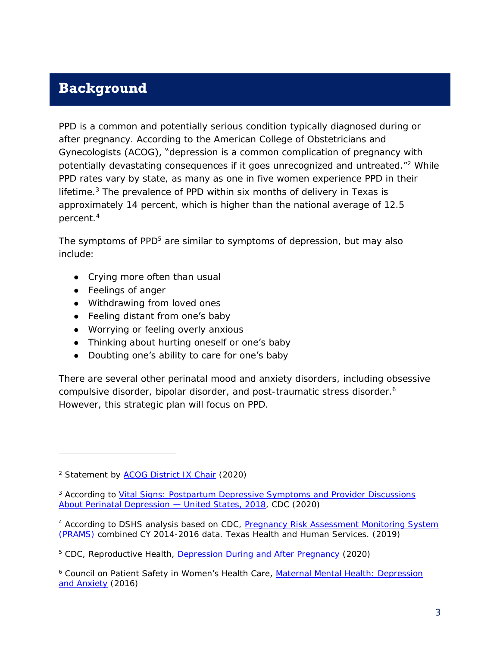### <span id="page-5-0"></span>**Background**

PPD is a common and potentially serious condition typically diagnosed during or after pregnancy. According to the American College of Obstetricians and Gynecologists (ACOG), "depression is a common complication of pregnancy with potentially devastating consequences if it goes unrecognized and untreated."<sup>2</sup> While PPD rates vary by state, as many as one in five women experience PPD in their lifetime.<sup>3</sup> The prevalence of PPD within six months of delivery in Texas is approximately 14 percent, which is higher than the national average of 12.5 percent. 4

The symptoms of PPD<sup>5</sup> are similar to symptoms of depression, but may also include:

- Crying more often than usual
- Feelings of anger

j

- Withdrawing from loved ones
- Feeling distant from one's baby
- Worrying or feeling overly anxious
- Thinking about hurting oneself or **one's** baby
- Doubting one's ability to care for one's baby

There are several other perinatal mood and anxiety disorders, including obsessive compulsive disorder, bipolar disorder, and post-traumatic stress disorder.<sup>6</sup> However, this strategic plan will focus on PPD.

<sup>2</sup> Statement by [ACOG District IX Chair](https://www.2020mom.org/acog-statement) (2020)

<sup>3</sup> According to *Vital Signs*[: Postpartum Depressive Symptoms and Provider Discussions](https://www.cdc.gov/mmwr/volumes/69/wr/mm6919a2.htm?s_cid=mm6919a2_w)  [About Perinatal Depression](https://www.cdc.gov/mmwr/volumes/69/wr/mm6919a2.htm?s_cid=mm6919a2_w) — United States, 2018, CDC (2020)

<sup>&</sup>lt;sup>4</sup> According to DSHS analysis based on CDC, Pregnancy Risk Assessment Monitoring System [\(PRAMS\)](https://www.cdc.gov/prams/index.htm) combined CY 2014-2016 data. Texas Health and Human Services. (2019)

<sup>5</sup> CDC, Reproductive Health, [Depression During and After Pregnancy](https://www.cdc.gov/reproductivehealth/features/maternal-depression/index.html) (2020)

<sup>&</sup>lt;sup>6</sup> [Council on Patient Safety in Women's Health Care,](https://safehealthcareforeverywoman.org/patient-safety-bundles/maternal-mental-health-depression-and-anxiety/) Maternal Mental Health: Depression [and Anxiety](https://safehealthcareforeverywoman.org/patient-safety-bundles/maternal-mental-health-depression-and-anxiety/) (2016)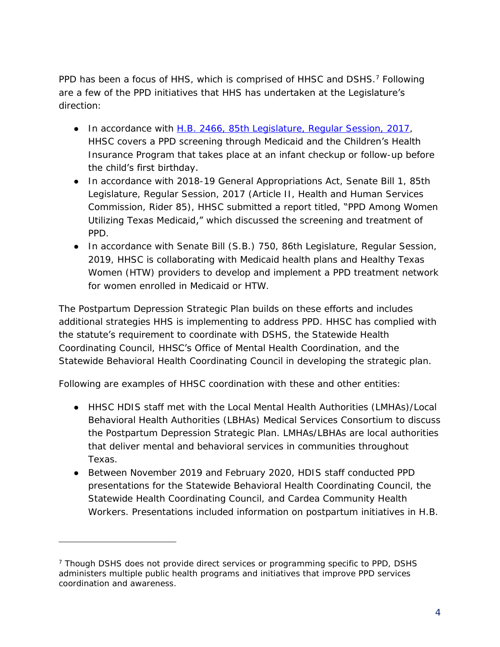PPD has been a focus of HHS, which is comprised of HHSC and DSHS.<sup>7</sup> Following are a few of the PPD initiatives that HHS has undertaken at the Legislature's direction:

- In accordance with H.B. [2466, 85th Legislature, Regular Session, 2017,](https://capitol.texas.gov/BillLookup/History.aspx?LegSess=85R&Bill=HB2466) HHSC covers a PPD screening through Medicaid and the Children's Health Insurance Program that takes place at an infant checkup or follow-up before the child's first birthday.
- In accordance with 2018-19 General Appropriations Act, Senate Bill 1, 85th Legislature, Regular Session, 2017 (Article II, Health and Human Services Commission, Rider 85), HHSC submitted a report titled, "PPD [Among Women](https://hhs.texas.gov/reports/2019/02/postpartum-depression-among-women-utilizing-texas-medicaid-2019)  [Utilizing Texas Medicaid,"](https://hhs.texas.gov/reports/2019/02/postpartum-depression-among-women-utilizing-texas-medicaid-2019) which discussed the screening and treatment of PPD.
- In accordance with Senate Bill (S.B.) [750, 86th Legislature, Regular Session,](https://capitol.texas.gov/BillLookup/Text.aspx?LegSess=86R&Bill=SB750)  [2019,](https://capitol.texas.gov/BillLookup/Text.aspx?LegSess=86R&Bill=SB750) HHSC is collaborating with Medicaid health plans and Healthy Texas Women (HTW) providers to develop and implement a PPD treatment network for women enrolled in Medicaid or HTW.

The *Postpartum Depression Strategic Plan* builds on these efforts and includes additional strategies HHS is implementing to address PPD. HHSC has complied with the statute's requirement to coordinate with DSHS, the Statewide Health Coordinating Council, HHSC's Office of Mental Health Coordination, and the Statewide Behavioral Health Coordinating Council in developing the strategic plan.

Following are examples of HHSC coordination with these and other entities:

- HHSC HDIS staff met with the Local Mental Health Authorities (LMHAs)/Local Behavioral Health Authorities (LBHAs) Medical Services Consortium to discuss the Postpartum Depression Strategic Plan. LMHAs/LBHAs are local authorities that deliver mental and behavioral services in communities throughout Texas.
- Between November 2019 and February 2020, HDIS staff conducted PPD presentations for the Statewide Behavioral Health Coordinating Council, the Statewide Health Coordinating Council, and Cardea Community Health Workers. Presentations included information on postpartum initiatives in H.B.

j

<sup>&</sup>lt;sup>7</sup> Though DSHS does not provide direct services or programming specific to PPD, DSHS administers multiple public health programs and initiatives that improve PPD services coordination and awareness.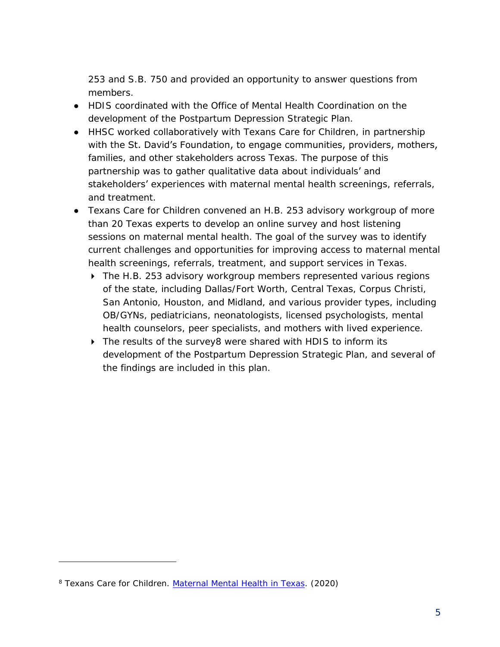253 and S.B. 750 and provided an opportunity to answer questions from members.

- HDIS coordinated with the Office of Mental Health Coordination on the development of the Postpartum Depression Strategic Plan.
- HHSC worked collaboratively with Texans Care for Children, in partnership with the St. David's Foundation, to engage communities, providers, mothers, families, and other stakeholders across Texas. The purpose of this partnership was to gather qualitative data about individuals' and stakeholders' experiences with maternal mental health screenings, referrals, and treatment.
- Texans Care for Children convened an H.B. 253 advisory workgroup of more than 20 Texas experts to develop an online survey and host listening sessions on maternal mental health. The goal of the survey was to identify current challenges and opportunities for improving access to maternal mental health screenings, referrals, treatment, and support services in Texas.
	- ▶ The H.B. 253 advisory workgroup members represented various regions of the state, including Dallas/Fort Worth, Central Texas, Corpus Christi, San Antonio, Houston, and Midland, and various provider types, including OB/GYNs, pediatricians, neonatologists, licensed psychologists, mental health counselors, peer specialists, and mothers with lived experience.
	- ▶ The results of the survey8 were shared with HDIS to inform its development of the Postpartum Depression Strategic Plan, and several of the findings are included in this plan.

j

<sup>8</sup> Texans Care for Children. *[Maternal Mental Health in Texas](https://static1.squarespace.com/static/5728d34462cd94b84dc567ed/t/5f074a34406e70280293fc25/1594313273455/maternal-mental-health-challenges-survey-results.pdf/)*. (2020)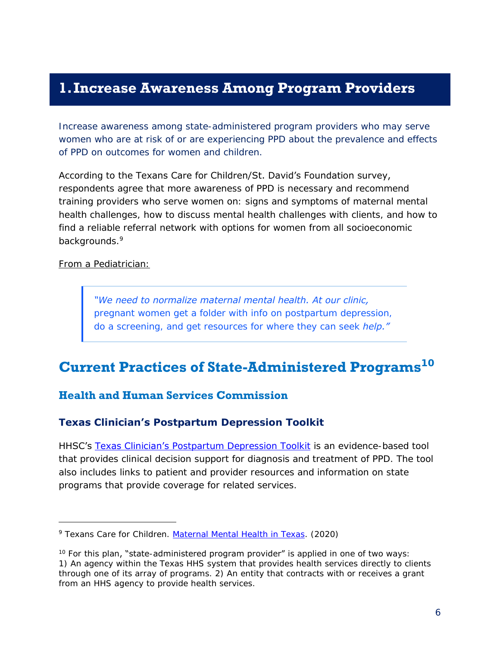### <span id="page-8-0"></span>**1.Increase Awareness Among Program Providers**

*Increase awareness among state-administered program providers who may serve women who are at risk of or are experiencing PPD about the prevalence and effects of PPD on outcomes for women and children.*

According to the Texans Care for Children/St. David's Foundation survey, respondents agree that more awareness of PPD is necessary and recommend training providers who serve women on: signs and symptoms of maternal mental health challenges, how to discuss mental health challenges with clients, and how to find a reliable referral network with options for women from all socioeconomic backgrounds.<sup>9</sup>

From a Pediatrician:

 $\overline{a}$ 

*"We need to normalize maternal mental health. At our clinic, pregnant women get a folder with info on postpartum depression, do a screening, and get resources for where they can seek help."*

### <span id="page-8-1"></span>**Current Practices of State-Administered Programs 10**

#### <span id="page-8-2"></span>**Health and Human Services Commission**

**Texas Clinician's Postpartum Depression Toolkit**

HHSC's [Texas Clinician's](https://hhs.texas.gov/sites/default/files/documents/doing-business-with-hhs/providers/health/women/tx-clinicians-ppd-toolkit.pdf) Postpartum Depression Toolkit is an evidence-based tool that provides clinical decision support for diagnosis and treatment of PPD. The tool also includes links to patient and provider resources and information on state programs that provide coverage for related services.

<sup>9</sup> Texans Care for Children. *[Maternal Mental Health in Texas](https://static1.squarespace.com/static/5728d34462cd94b84dc567ed/t/5f074a34406e70280293fc25/1594313273455/maternal-mental-health-challenges-survey-results.pdf/)*. (2020)

 $10$  For this plan, "state-administered program provider" is applied in one of two ways: 1) An agency within the Texas HHS system that provides health services directly to clients through one of its array of programs. 2) An entity that contracts with or receives a grant from an HHS agency to provide health services.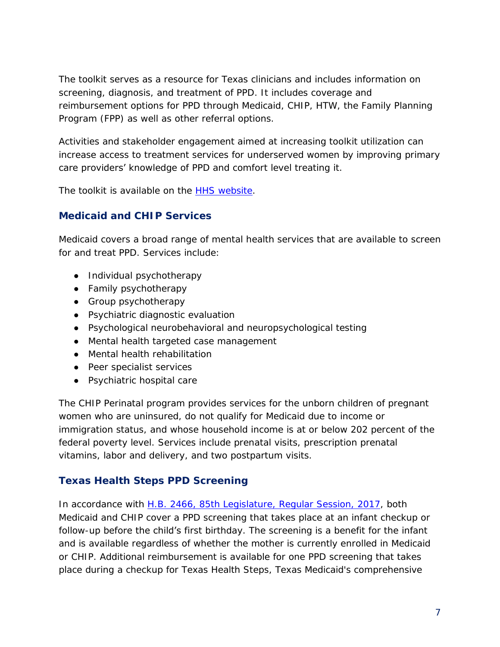The toolkit serves as a resource for Texas clinicians and includes information on screening, diagnosis, and treatment of PPD. It includes coverage and reimbursement options for PPD through Medicaid, CHIP, HTW, the Family Planning Program (FPP) as well as other referral options.

Activities and stakeholder engagement aimed at increasing toolkit utilization can increase access to treatment services for underserved women by improving primary care providers' knowledge of PPD and comfort level treating it.

The toolkit is available on the [HHS website.](https://hhs.texas.gov/doing-business-hhs/provider-portals/health-services-providers/womens-health-services/womens-health-services-provider-toolkits)

#### **Medicaid and CHIP Services**

Medicaid covers a broad range of mental health services that are available to screen for and treat PPD. Services include:

- Individual psychotherapy
- Family psychotherapy
- Group psychotherapy
- Psychiatric diagnostic evaluation
- Psychological neurobehavioral and neuropsychological testing
- Mental health targeted case management
- Mental health rehabilitation
- Peer specialist services
- Psychiatric hospital care

The CHIP Perinatal program provides services for the unborn children of pregnant women who are uninsured, do not qualify for Medicaid due to income or immigration status, and whose household income is at or below 202 percent of the federal poverty level. Services include prenatal visits, prescription prenatal vitamins, labor and delivery, and two postpartum visits.

#### **Texas Health Steps PPD Screening**

In accordance with H.B. [2466, 85th Legislature, Regular Session, 2017,](https://capitol.texas.gov/BillLookup/History.aspx?LegSess=85R&Bill=HB2466) both Medicaid and CHIP cover a PPD screening that takes place at an infant checkup or follow-up before the child's first birthday. The screening is a benefit for the infant and is available regardless of whether the mother is currently enrolled in Medicaid or CHIP. Additional reimbursement is available for one PPD screening that takes place during a checkup for Texas Health Steps, Texas Medicaid's comprehensive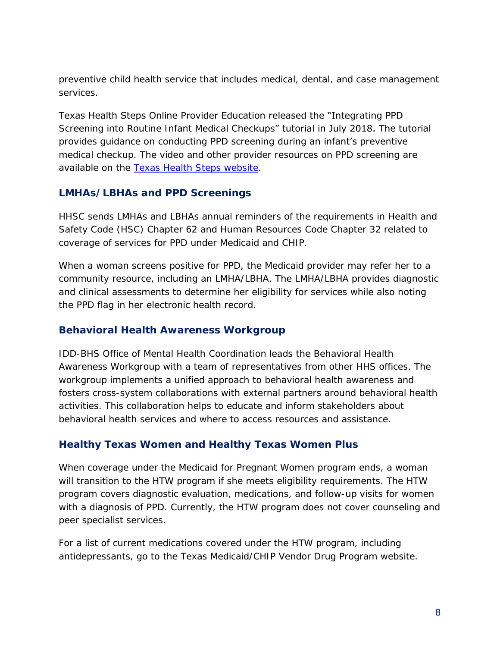preventive child health service that includes medical, dental, and case management services.

Texas Health Steps Online Provider Education released the "Integrating PPD Screening into Routine Infant Medical Checkups" tutorial in July 2018. The tutorial provides guidance on conducting PPD screening during an infant's preventive medical checkup. The video and other provider resources on PPD screening are available on the [Texas Health Steps website.](https://www.txhealthsteps.com/)

#### **LMHAs/LBHAs and PPD Screenings**

HHSC sends LMHAs and LBHAs annual reminders of the requirements in Health and Safety Code (HSC) Chapter 62 and Human Resources Code Chapter 32 related to coverage of services for PPD under Medicaid and CHIP.

When a woman screens positive for PPD, the Medicaid provider may refer her to a community resource, including an LMHA/LBHA. The LMHA/LBHA provides diagnostic and clinical assessments to determine her eligibility for services while also noting the PPD flag in her electronic health record.

#### **Behavioral Health Awareness Workgroup**

IDD-BHS Office of Mental Health Coordination leads the Behavioral Health Awareness Workgroup with a team of representatives from other HHS offices. The workgroup implements a unified approach to behavioral health awareness and fosters cross-system collaborations with external partners around behavioral health activities. This collaboration helps to educate and inform stakeholders about behavioral health services and where to access resources and assistance.

#### **Healthy Texas Women and Healthy Texas Women Plus**

When coverage under the Medicaid for Pregnant Women program ends, a woman will transition to the HTW program if she meets eligibility requirements. The HTW program covers diagnostic evaluation, medications, and follow-up visits for women with a diagnosis of PPD. Currently, the HTW program does not cover counseling and peer specialist services.

For a list of current medications covered under the HTW program, including antidepressants, go to the [Texas Medicaid/CHIP Vendor Drug](https://www.txvendordrug.com/formulary/formulary-search) Program website.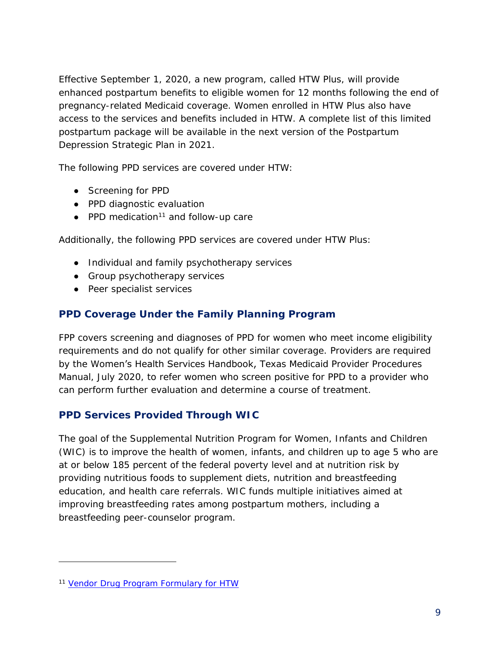Effective September 1, 2020, a new program, called HTW Plus, will provide enhanced postpartum benefits to eligible women for 12 months following the end of pregnancy-related Medicaid coverage. Women enrolled in HTW Plus also have access to the services and benefits included in HTW. A complete list of this limited postpartum package will be available in the next version of the Postpartum Depression Strategic Plan in 2021.

The following PPD services are covered under HTW:

- Screening for PPD
- PPD diagnostic evaluation
- $\bullet$  PPD medication<sup>11</sup> and follow-up care

Additionally, the following PPD services are covered under HTW Plus:

- Individual and family psychotherapy services
- Group psychotherapy services
- Peer specialist services

#### **PPD Coverage Under the Family Planning Program**

FPP covers screening and diagnoses of PPD for women who meet income eligibility requirements and do not qualify for other similar coverage. Providers are required by the Women's Health Services Handbook, Texas Medicaid Provider Procedures Manual, July 2020, to refer women who screen positive for PPD to a provider who can perform further evaluation and determine a course of treatment.

#### **PPD Services Provided Through WIC**

The goal of the Supplemental Nutrition Program for Women, Infants and Children (WIC) is to improve the health of women, infants, and children up to age 5 who are at or below 185 percent of the federal poverty level and at nutrition risk by providing nutritious foods to supplement diets, nutrition and breastfeeding education, and health care referrals. WIC funds multiple initiatives aimed at improving breastfeeding rates among postpartum mothers, including a breastfeeding peer-counselor program.

j

<sup>&</sup>lt;sup>11</sup> [Vendor Drug Program Formulary for HTW](https://www.txvendordrug.com/formulary/formulary-search)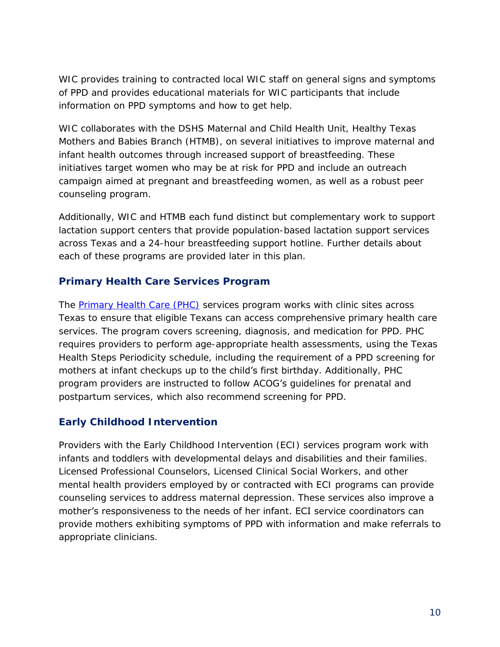WIC provides training to contracted local WIC staff on general signs and symptoms of PPD and provides educational materials for WIC participants that include information on PPD symptoms and how to get help.

WIC collaborates with the DSHS Maternal and Child Health Unit, Healthy Texas Mothers and Babies Branch (HTMB), on several initiatives to improve maternal and infant health outcomes through increased support of breastfeeding. These initiatives target women who may be at risk for PPD and include an outreach campaign aimed at pregnant and breastfeeding women, as well as a robust peer counseling program.

Additionally, WIC and HTMB each fund distinct but complementary work to support lactation support centers that provide population-based lactation support services across Texas and a 24-hour breastfeeding support hotline. Further details about each of these programs are provided later in this plan.

#### **Primary Health Care Services Program**

The **Primary Health Care (PHC)** services program works with clinic sites across Texas to ensure that eligible Texans can access comprehensive primary health care services. The program covers screening, diagnosis, and medication for PPD. PHC requires providers to perform age-appropriate health assessments, using the Texas Health Steps Periodicity schedule, including the requirement of a PPD screening for mothers at infant checkups up to the child's first birthday. Additionally, PHC program providers are instructed to follow ACOG's guidelines for prenatal and postpartum services, which also recommend screening for PPD.

#### **Early Childhood Intervention**

Providers with the Early Childhood Intervention (ECI) services program work with infants and toddlers with developmental delays and disabilities and their families. Licensed Professional Counselors, Licensed Clinical Social Workers, and other mental health providers employed by or contracted with ECI programs can provide counseling services to address maternal depression. These services also improve a mother's responsiveness to the needs of her infant. ECI service coordinators can provide mothers exhibiting symptoms of PPD with information and make referrals to appropriate clinicians.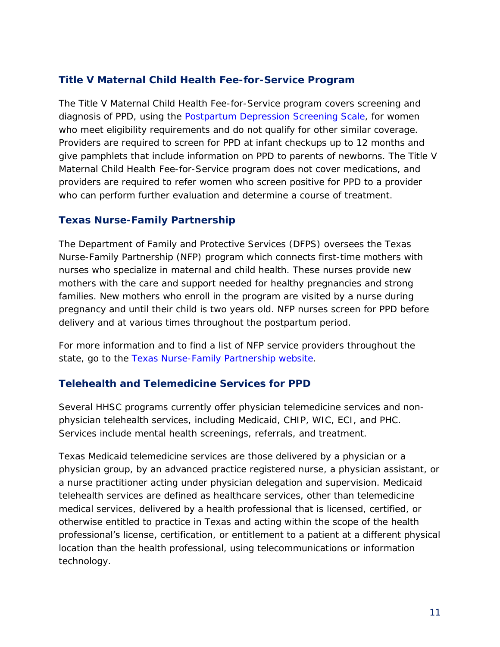#### **Title V Maternal Child Health Fee-for-Service Program**

The Title V Maternal Child Health Fee-for-Service program covers screening and diagnosis of PPD, using the **Postpartum Depression Screening Scale**, for women who meet eligibility requirements and do not qualify for other similar coverage. Providers are required to screen for PPD at infant checkups up to 12 months and give pamphlets that include information on PPD to parents of newborns. The Title V Maternal Child Health Fee-for-Service program does not cover medications, and providers are required to refer women who screen positive for PPD to a provider who can perform further evaluation and determine a course of treatment.

#### **Texas Nurse-Family Partnership**

The Department of Family and Protective Services (DFPS) oversees the Texas Nurse-Family Partnership (NFP) program which connects first-time mothers with nurses who specialize in maternal and child health. These nurses provide new mothers with the care and support needed for healthy pregnancies and strong families. New mothers who enroll in the program are visited by a nurse during pregnancy and until their child is two years old. NFP nurses screen for PPD before delivery and at various times throughout the postpartum period.

For more information and to find a list of NFP service providers throughout the state, go to the [Texas Nurse-Family Partnership website.](http://www.dfps.state.tx.us/Prevention_and_Early_Intervention/Texas_Home_Visiting/nurse.asp)

#### **Telehealth and Telemedicine Services for PPD**

Several HHSC programs currently offer physician telemedicine services and nonphysician telehealth services, including Medicaid, CHIP, WIC, ECI, and PHC. Services include mental health screenings, referrals, and treatment.

Texas Medicaid telemedicine services are those delivered by a physician or a physician group, by an advanced practice registered nurse, a physician assistant, or a nurse practitioner acting under physician delegation and supervision. Medicaid telehealth services are defined as healthcare services, other than telemedicine medical services, delivered by a health professional that is licensed, certified, or otherwise entitled to practice in Texas and acting within the scope of the health professional's license, certification, or entitlement to a patient at a different physical location than the health professional, using telecommunications or information technology.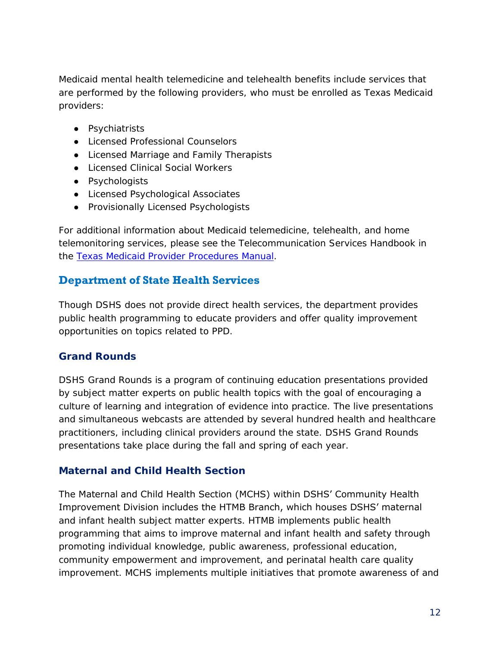Medicaid mental health telemedicine and telehealth benefits include services that are performed by the following providers, who must be enrolled as Texas Medicaid providers:

- Psychiatrists
- Licensed Professional Counselors
- Licensed Marriage and Family Therapists
- Licensed Clinical Social Workers
- Psychologists
- Licensed Psychological Associates
- Provisionally Licensed Psychologists

For additional information about Medicaid telemedicine, telehealth, and home telemonitoring services, please see the Telecommunication Services Handbook in the [Texas Medicaid Provider Procedures Manual.](http://www.tmhp.com/Manuals_HTML1/TMPPM/Current/index.html)

#### <span id="page-14-0"></span>**Department of State Health Services**

Though DSHS does not provide direct health services, the department provides public health programming to educate providers and offer quality improvement opportunities on topics related to PPD.

#### **Grand Rounds**

DSHS Grand Rounds is a program of continuing education presentations provided by subject matter experts on public health topics with the goal of encouraging a culture of learning and integration of evidence into practice. The live presentations and simultaneous webcasts are attended by several hundred health and healthcare practitioners, including clinical providers around the state. DSHS Grand Rounds presentations take place during the fall and spring of each year.

#### **Maternal and Child Health Section**

The Maternal and Child Health Section (MCHS) within DSHS' Community Health Improvement Division includes the HTMB Branch, which houses DSHS' maternal and infant health subject matter experts. HTMB implements public health programming that aims to improve maternal and infant health and safety through promoting individual knowledge, public awareness, professional education, community empowerment and improvement, and perinatal health care quality improvement. MCHS implements multiple initiatives that promote awareness of and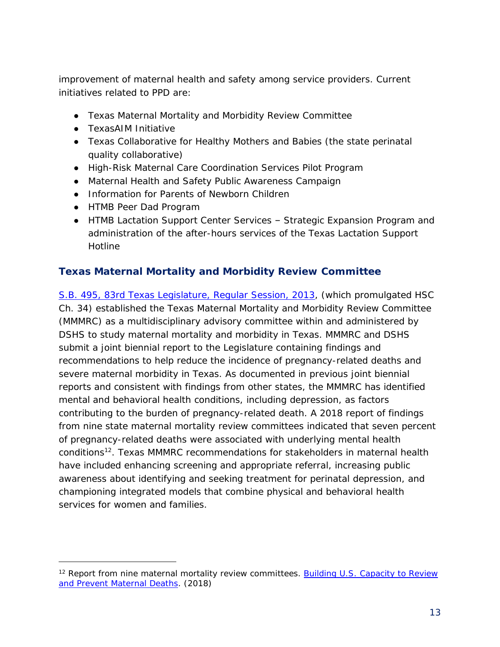improvement of maternal health and safety among service providers. Current initiatives related to PPD are:

- Texas Maternal Mortality and Morbidity Review Committee
- TexasAIM Initiative
- Texas Collaborative for Healthy Mothers and Babies (the state perinatal quality collaborative)
- High-Risk Maternal Care Coordination Services Pilot Program
- Maternal Health and Safety Public Awareness Campaign
- Information for Parents of Newborn Children
- HTMB Peer Dad Program

-

● HTMB Lactation Support Center Services – Strategic Expansion Program and administration of the after-hours services of the Texas Lactation Support Hotline

#### **Texas Maternal Mortality and Morbidity Review Committee**

S.B. [495, 83rd Texas Legislature, Regular Session, 2013,](https://capitol.texas.gov/tlodocs/83R/billtext/html/SB00495F.htm) (which promulgated [HSC](https://statutes.capitol.texas.gov/Docs/HS/htm/HS.34.htm)  [Ch. 34\)](https://statutes.capitol.texas.gov/Docs/HS/htm/HS.34.htm) established the Texas Maternal Mortality and Morbidity Review Committee (MMMRC) as a multidisciplinary advisory committee within and administered by DSHS to study maternal mortality and morbidity in Texas. MMMRC and DSHS submit a joint biennial report to the Legislature containing findings and recommendations to help reduce the incidence of pregnancy-related deaths and severe maternal morbidity in Texas. As documented in [previous joint biennial](https://www.dshs.texas.gov/mch/Maternal-Mortality-and-Morbidity-Review-Committee.aspx)  [reports](https://www.dshs.texas.gov/mch/Maternal-Mortality-and-Morbidity-Review-Committee.aspx) and consistent with findings from other states, the MMMRC has identified mental and behavioral health conditions, including depression, as factors contributing to the burden of pregnancy-related death. A 2018 report of findings from nine state maternal mortality review committees indicated that seven percent of pregnancy-related deaths were associated with underlying mental health conditions<sup>12</sup>. Texas MMMRC recommendations for stakeholders in maternal health have included enhancing screening and appropriate referral, increasing public awareness about identifying and seeking treatment for perinatal depression, and championing integrated models that combine physical and behavioral health services for women and families.

<sup>12</sup> Report from nine maternal mortality review committees. *[Building U.S. Capacity to Review](http://reviewtoaction.org/Report_from_Nine_MMRCs)  [and Prevent Maternal Deaths.](http://reviewtoaction.org/Report_from_Nine_MMRCs)* (2018)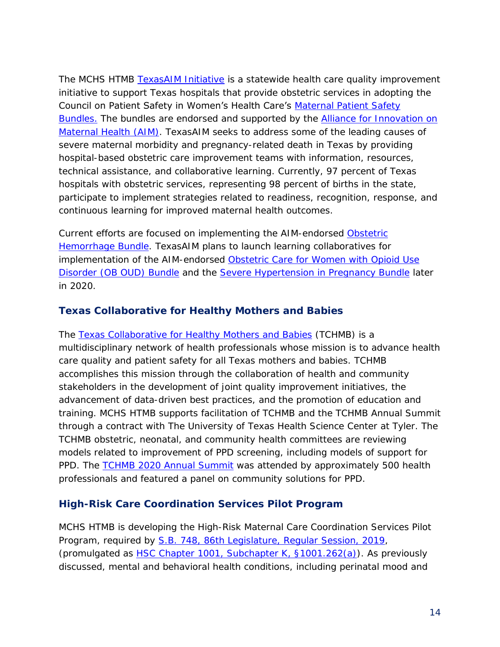The MCHS HTMB [TexasAIM Initiative](https://www.dshs.texas.gov/mch/TexasAIM.aspx) is a statewide health care quality improvement initiative to support Texas hospitals that provide obstetric services in adopting the Council on Patient Safety in Women's Health Care's [Maternal Patient Safety](https://safehealthcareforeverywoman.org/patient-safety-bundles/)  [Bundles.](https://safehealthcareforeverywoman.org/patient-safety-bundles/) The bundles are endorsed and supported by the **Alliance for Innovation on** [Maternal Health](https://safehealthcareforeverywoman.org/aim-program/) (AIM). TexasAIM seeks to address some of the leading causes of severe maternal morbidity and pregnancy-related death in Texas by providing hospital-based obstetric care improvement teams with information, resources, technical assistance, and collaborative learning. Currently, 97 percent of Texas hospitals with obstetric services, representing 98 percent of births in the state, participate to implement strategies related to readiness, recognition, response, and continuous learning for improved maternal health outcomes.

Current efforts are focused on implementing the AIM-endorsed [Obstetric](https://safehealthcareforeverywoman.org/patient-safety-bundles/obstetric-hemorrhage/)  [Hemorrhage Bundle.](https://safehealthcareforeverywoman.org/patient-safety-bundles/obstetric-hemorrhage/) TexasAIM plans to launch learning collaboratives for implementation of the AIM-endorsed Obstetric Care for Women with Opioid Use [Disorder \(OB OUD\) Bundle](https://safehealthcareforeverywoman.org/patient-safety-bundles/obstetric-care-for-women-with-opioid-use-disorder/) and the [Severe Hypertension in Pregnancy Bundle](https://safehealthcareforeverywoman.org/patient-safety-bundles/severe-hypertension-in-pregnancy/) later in 2020.

#### **Texas Collaborative for Healthy Mothers and Babies**

The [Texas Collaborative for Healthy Mothers and Babies](https://www.tchmb.org/) (TCHMB) is a multidisciplinary network of health professionals whose mission is to advance health care quality and patient safety for all Texas mothers and babies. TCHMB accomplishes this mission through the collaboration of health and community stakeholders in the development of joint quality improvement initiatives, the advancement of data-driven best practices, and the promotion of education and training. MCHS HTMB supports facilitation of TCHMB and the TCHMB Annual Summit through a contract with The University of Texas Health Science Center at Tyler. The TCHMB obstetric, neonatal, and community health committees are reviewing models related to improvement of PPD screening, including models of support for PPD. The **TCHMB 2020 Annual Summit** was attended by approximately 500 health professionals and featured a panel on community solutions for PPD.

#### **High-Risk Care Coordination Services Pilot Program**

MCHS HTMB is developing the High-Risk Maternal Care Coordination Services Pilot Program, required by S.B. [748, 86th Legislature, Regular Session, 2019,](https://capitol.texas.gov/tlodocs/86R/billtext/html/SB00748F.htm) (promulgated as HSC Chapter [1001, Subchapter K,](https://statutes.capitol.texas.gov/Docs/HS/htm/HS.1001.htm#1001.261) §1001.262(a)). As previously discussed, mental and behavioral health conditions, including perinatal mood and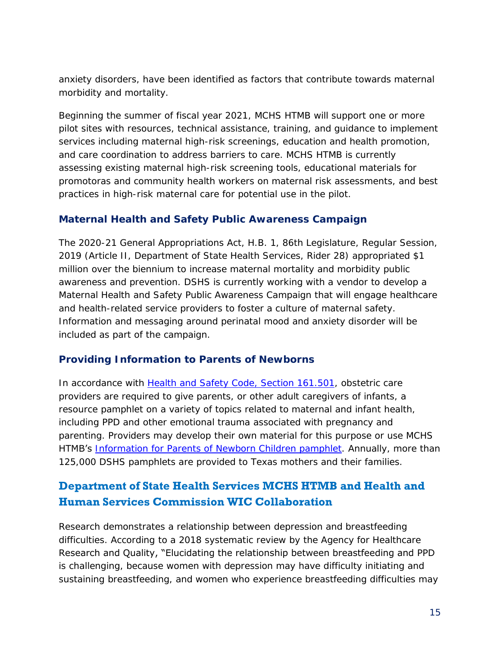anxiety disorders, have been identified as factors that contribute towards maternal morbidity and mortality.

Beginning the summer of fiscal year 2021, MCHS HTMB will support one or more pilot sites with resources, technical assistance, training, and guidance to implement services including maternal high-risk screenings, education and health promotion, and care coordination to address barriers to care. MCHS HTMB is currently assessing existing maternal high-risk screening tools, educational materials for promotoras and community health workers on maternal risk assessments, and best practices in high-risk maternal care for potential use in the pilot.

#### **Maternal Health and Safety Public Awareness Campaign**

[The 2020-21 General Appropriations Act, H.B. 1, 86th Legislature, Regular Session,](https://capitol.texas.gov/tlodocs/86R/billtext/pdf/HB00001F.pdf#navpanes=0)  [2019 \(Article II, Department of State Health Services, Rider](https://capitol.texas.gov/tlodocs/86R/billtext/pdf/HB00001F.pdf#navpanes=0) 28) appropriated \$1 million over the biennium to increase maternal mortality and morbidity public awareness and prevention. DSHS is currently working with a vendor to develop a Maternal Health and Safety Public Awareness Campaign that will engage healthcare and health-related service providers to foster a culture of maternal safety. Information and messaging around perinatal mood and anxiety disorder will be included as part of the campaign.

#### **Providing Information to Parents of Newborns**

In accordance with [Health and Safety Code, Section 161.501,](https://statutes.capitol.texas.gov/Docs/HS/htm/HS.161.htm) obstetric care providers are required to give parents, or other adult caregivers of infants, a resource pamphlet on a variety of topics related to maternal and infant health, including PPD and other emotional trauma associated with pregnancy and parenting. Providers may develop their own material for this purpose or use MCHS HTMB's [Information for Parents of Newborn Children pamphlet.](https://www.dshs.texas.gov/mch/parents_of_newborn.shtm?terms=%22Information%20for%20Parents%20of%20Newborn%20Children%22) Annually, more than 125,000 DSHS pamphlets are provided to Texas mothers and their families.

#### <span id="page-17-0"></span>**Department of State Health Services MCHS HTMB and Health and Human Services Commission WIC Collaboration**

Research demonstrates a relationship between depression and breastfeeding difficulties. According to a 2018 systematic review by the Agency for Healthcare Research and Quality, "Elucidating the relationship between breastfeeding and PPD is challenging, because women with depression may have difficulty initiating and sustaining breastfeeding, and women who experience breastfeeding difficulties may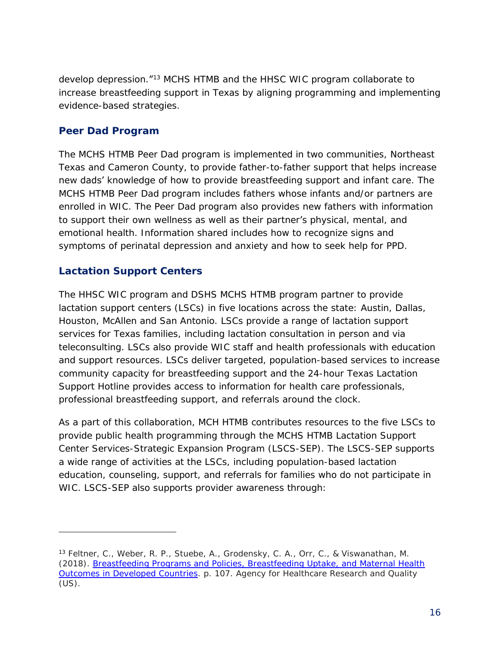develop depression.<sup>"13</sup> MCHS HTMB and the HHSC WIC program collaborate to increase breastfeeding support in Texas by aligning programming and implementing evidence-based strategies.

#### **Peer Dad Program**

The MCHS HTMB Peer Dad program is implemented in two communities, Northeast Texas and Cameron County, to provide father-to-father support that helps increase new dads' knowledge of how to provide breastfeeding support and infant care. The MCHS HTMB Peer Dad program includes fathers whose infants and/or partners are enrolled in WIC. The Peer Dad program also provides new fathers with information to support their own wellness as well as their partner's physical, mental, and emotional health. Information shared includes how to recognize signs and symptoms of perinatal depression and anxiety and how to seek help for PPD.

#### **Lactation Support Centers**

-

The HHSC WIC program and DSHS MCHS HTMB program partner to provide lactation support centers (LSCs) in five locations across the state: Austin, Dallas, Houston, McAllen and San Antonio. LSCs provide a range of lactation support services for Texas families, including lactation consultation in person and via teleconsulting. LSCs also provide WIC staff and health professionals with education and support resources. LSCs deliver targeted, population-based services to increase community capacity for breastfeeding support and the 24-hour Texas Lactation Support Hotline provides access to information for health care professionals, professional breastfeeding support, and referrals around the clock.

As a part of this collaboration, MCH HTMB contributes resources to the five LSCs to provide public health programming through the MCHS HTMB Lactation Support Center Services-Strategic Expansion Program (LSCS-SEP). The LSCS-SEP supports a wide range of activities at the LSCs, including population-based lactation education, counseling, support, and referrals for families who do not participate in WIC. LSCS-SEP also supports provider awareness through:

<sup>13</sup> Feltner, C., Weber, R. P., Stuebe, A., Grodensky, C. A., Orr, C., & Viswanathan, M. (2018). *[Breastfeeding Programs and Policies, Breastfeeding Uptake, and Maternal Health](https://www.ncbi.nlm.nih.gov/books/NBK525106/)  [Outcomes in Developed Countries](https://www.ncbi.nlm.nih.gov/books/NBK525106/)*. p. 107. Agency for Healthcare Research and Quality (US).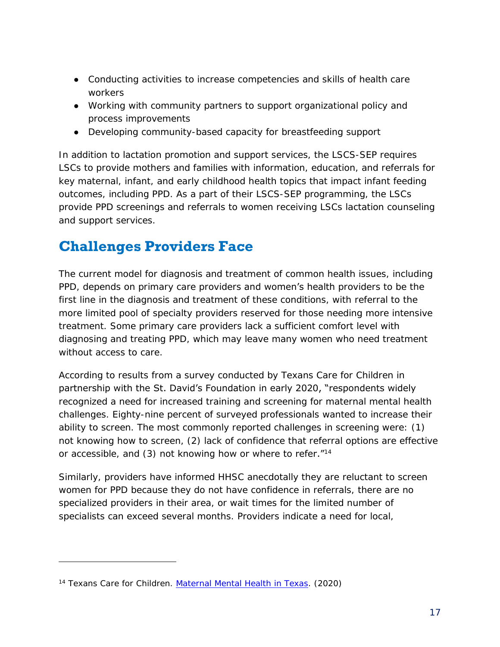- Conducting activities to increase competencies and skills of health care workers
- Working with community partners to support organizational policy and process improvements
- Developing community-based capacity for breastfeeding support

In addition to lactation promotion and support services, the LSCS-SEP requires LSCs to provide mothers and families with information, education, and referrals for key maternal, infant, and early childhood health topics that impact infant feeding outcomes, including PPD. As a part of their LSCS-SEP programming, the LSCs provide PPD screenings and referrals to women receiving LSCs lactation counseling and support services.

### <span id="page-19-0"></span>**Challenges Providers Face**

The current model for diagnosis and treatment of common health issues, including PPD, depends on primary care providers and women's health providers to be the first line in the diagnosis and treatment of these conditions, with referral to the more limited pool of specialty providers reserved for those needing more intensive treatment. Some primary care providers lack a sufficient comfort level with diagnosing and treating PPD, which may leave many women who need treatment without access to care.

According to results from a survey conducted by Texans Care for Children in partnership with the St. David's Foundation in early 2020, "respondents widely recognized a need for increased training and screening for maternal mental health challenges. Eighty-nine percent of surveyed professionals wanted to increase their ability to screen. The most commonly reported challenges in screening were: (1) not knowing how to screen, (2) lack of confidence that referral options are effective or accessible, and (3) not knowing how or where to refer."<sup>14</sup>

Similarly, providers have informed HHSC anecdotally they are reluctant to screen women for PPD because they do not have confidence in referrals, there are no specialized providers in their area, or wait times for the limited number of specialists can exceed several months. Providers indicate a need for local,

j

<sup>14</sup> Texans Care for Children. *[Maternal Mental Health in Texas](https://static1.squarespace.com/static/5728d34462cd94b84dc567ed/t/5f074a34406e70280293fc25/1594313273455/maternal-mental-health-challenges-survey-results.pdf/)*. (2020)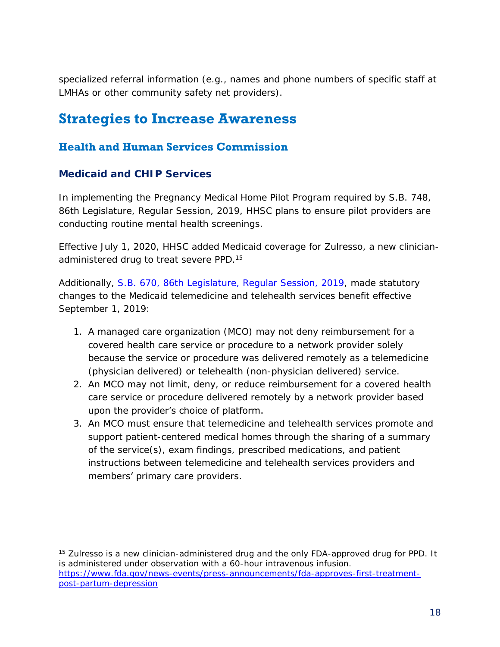specialized referral information (e.g., names and phone numbers of specific staff at LMHAs or other community safety net providers).

### <span id="page-20-0"></span>**Strategies to Increase Awareness**

#### <span id="page-20-1"></span>**Health and Human Services Commission**

#### **Medicaid and CHIP Services**

-

In implementing the Pregnancy Medical Home Pilot Program required by S.B. [748,](https://capitol.texas.gov/BillLookup/History.aspx?LegSess=86R&Bill=SB748)  [86th Legislature, Regular Session, 2019,](https://capitol.texas.gov/BillLookup/History.aspx?LegSess=86R&Bill=SB748) HHSC plans to ensure pilot providers are conducting routine mental health screenings.

Effective July 1, 2020, HHSC added Medicaid coverage for Zulresso, a new clinicianadministered drug to treat severe PPD.<sup>15</sup>

Additionally, S.B. [670, 86th Legislature, Regular Session, 2019,](https://capitol.texas.gov/BillLookup/History.aspx?LegSess=86R&Bill=SB670) made statutory changes to the Medicaid telemedicine and telehealth services benefit effective September 1, 2019:

- 1. A managed care organization (MCO) may not deny reimbursement for a covered health care service or procedure to a network provider solely because the service or procedure was delivered remotely as a telemedicine (physician delivered) or telehealth (non-physician delivered) service.
- 2. An MCO may not limit, deny, or reduce reimbursement for a covered health care service or procedure delivered remotely by a network provider based upon the provider's choice of platform.
- 3. An MCO must ensure that telemedicine and telehealth services promote and support patient-centered medical homes through the sharing of a summary of the service(s), exam findings, prescribed medications, and patient instructions between telemedicine and telehealth services providers and members' primary care providers.

<sup>&</sup>lt;sup>15</sup> Zulresso is a new clinician-administered drug and the only FDA-approved drug for PPD. It is administered under observation with a 60-hour intravenous infusion. [https://www.fda.gov/news-events/press-announcements/fda-approves-first-treatment](https://www.fda.gov/news-events/press-announcements/fda-approves-first-treatment-post-partum-depression)[post-partum-depression](https://www.fda.gov/news-events/press-announcements/fda-approves-first-treatment-post-partum-depression)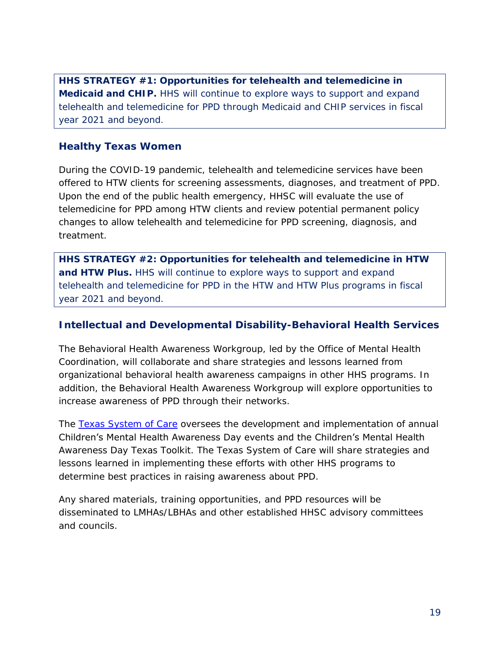*HHS STRATEGY #1: Opportunities for telehealth and telemedicine in Medicaid and CHIP. HHS will continue to explore ways to support and expand telehealth and telemedicine for PPD through Medicaid and CHIP services in fiscal year 2021 and beyond.*

#### **Healthy Texas Women**

During the COVID-19 pandemic, telehealth and telemedicine services have been offered to HTW clients for screening assessments, diagnoses, and treatment of PPD. Upon the end of the public health emergency, HHSC will evaluate the use of telemedicine for PPD among HTW clients and review potential permanent policy changes to allow telehealth and telemedicine for PPD screening, diagnosis, and treatment.

*HHS STRATEGY #2: Opportunities for telehealth and telemedicine in HTW and HTW Plus. HHS will continue to explore ways to support and expand telehealth and telemedicine for PPD in the HTW and HTW Plus programs in fiscal year 2021 and beyond.*

#### **Intellectual and Developmental Disability-Behavioral Health Services**

The Behavioral Health Awareness Workgroup, led by the Office of Mental Health Coordination, will collaborate and share strategies and lessons learned from organizational behavioral health awareness campaigns in other HHS programs. In addition, the Behavioral Health Awareness Workgroup will explore opportunities to increase awareness of PPD through their networks.

The [Texas System of Care](https://txsystemofcare.org/) oversees the development and implementation of annual Children's Mental Health Awareness Day events and the Children's Mental Health Awareness Day Texas Toolkit. The Texas System of Care will share strategies and lessons learned in implementing these efforts with other HHS programs to determine best practices in raising awareness about PPD.

Any shared materials, training opportunities, and PPD resources will be disseminated to LMHAs/LBHAs and other established HHSC advisory committees and councils.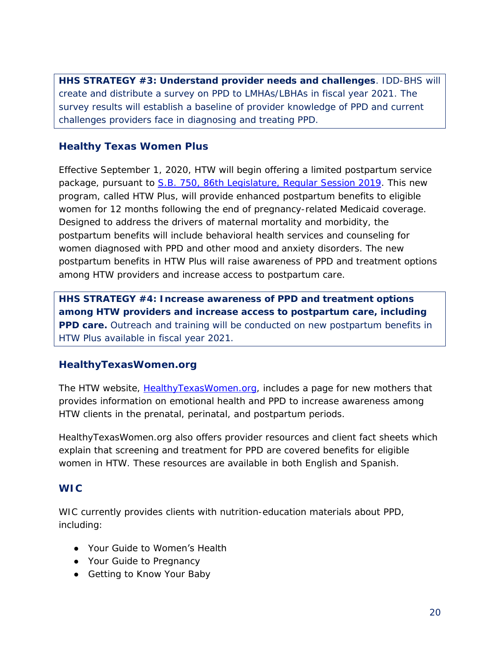*HHS STRATEGY #3: Understand provider needs and challenges. IDD-BHS will create and distribute a survey on PPD to LMHAs/LBHAs in fiscal year 2021. The survey results will establish a baseline of provider knowledge of PPD and current challenges providers face in diagnosing and treating PPD.*

#### **Healthy Texas Women Plus**

Effective September 1, 2020, HTW will begin offering a limited postpartum service package, pursuant to S.B. [750, 86th Legislature,](https://capitol.texas.gov/BillLookup/History.aspx?LegSess=86R&Bill=SB750) Regular Session 2019. This new program, called HTW Plus, will provide enhanced postpartum benefits to eligible women for 12 months following the end of pregnancy-related Medicaid coverage. Designed to address the drivers of maternal mortality and morbidity, the postpartum benefits will include behavioral health services and counseling for women diagnosed with PPD and other mood and anxiety disorders. The new postpartum benefits in HTW Plus will raise awareness of PPD and treatment options among HTW providers and increase access to postpartum care.

*HHS STRATEGY #4: Increase awareness of PPD and treatment options among HTW providers and increase access to postpartum care, including PPD care. Outreach and training will be conducted on new postpartum benefits in HTW Plus available in fiscal year 2021.*

#### **HealthyTexasWomen.org**

The HTW website, [HealthyTexasWomen.org,](https://www.healthytexaswomen.org/new-moms) includes a page for new mothers that provides information on emotional health and PPD to increase awareness among HTW clients in the prenatal, perinatal, and postpartum periods.

HealthyTexasWomen.org also offers provider resources and client fact sheets which explain that screening and treatment for PPD are covered benefits for eligible women in HTW. These resources are available in both English and Spanish.

#### **WIC**

WIC currently provides clients with nutrition-education materials about PPD, including:

- Your Guide to Women's Health
- Your Guide to Pregnancy
- Getting to Know Your Baby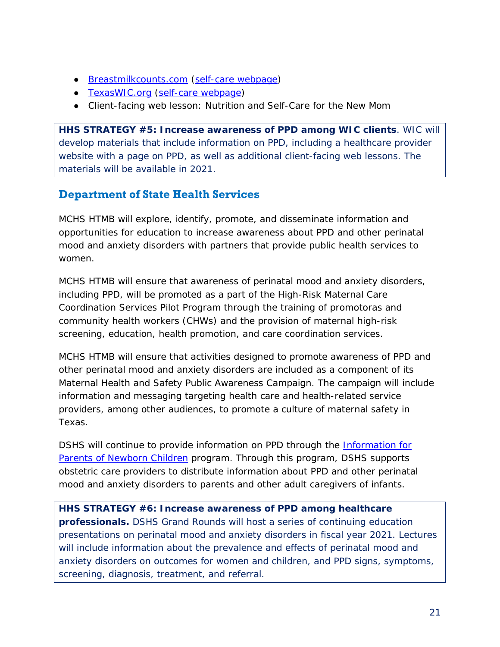- [Breastmilkcounts.com](https://www.breastmilkcounts.com/) (self-care [webpage\)](https://www.breastmilkcounts.com/self-care/mental-and-emotional-health/)
- [TexasWIC.org](https://texaswic.org/) (self-care [webpage\)](https://texaswic.org/health-nutrition/women/now-baby-here)
- Client-facing web lesson: Nutrition and Self-Care for the New Mom

*HHS STRATEGY #5: Increase awareness of PPD among WIC clients. WIC will develop materials that include information on PPD, including a healthcare provider website with a page on PPD, as well as additional client-facing web lessons. The materials will be available in 2021.*

#### <span id="page-23-0"></span>**Department of State Health Services**

MCHS HTMB will explore, identify, promote, and disseminate information and opportunities for education to increase awareness about PPD and other perinatal mood and anxiety disorders with partners that provide public health services to women.

MCHS HTMB will ensure that awareness of perinatal mood and anxiety disorders, including PPD, will be promoted as a part of the High-Risk Maternal Care Coordination Services Pilot Program through the training of promotoras and community health workers (CHWs) and the provision of maternal high-risk screening, education, health promotion, and care coordination services.

MCHS HTMB will ensure that activities designed to promote awareness of PPD and other perinatal mood and anxiety disorders are included as a component of its Maternal Health and Safety Public Awareness Campaign. The campaign will include information and messaging targeting health care and health-related service providers, among other audiences, to promote a culture of maternal safety in Texas.

DSHS will continue to provide information on PPD through the [Information for](https://dshs.texas.gov/mch/parents_of_newborn.shtm)  [Parents of Newborn Children](https://dshs.texas.gov/mch/parents_of_newborn.shtm) program. Through this program, DSHS supports obstetric care providers to distribute information about PPD and other perinatal mood and anxiety disorders to parents and other adult caregivers of infants.

*HHS STRATEGY #6: Increase awareness of PPD among healthcare professionals. DSHS Grand Rounds will host a series of continuing education presentations on perinatal mood and anxiety disorders in fiscal year 2021. Lectures will include information about the prevalence and effects of perinatal mood and anxiety disorders on outcomes for women and children, and PPD signs, symptoms, screening, diagnosis, treatment, and referral.*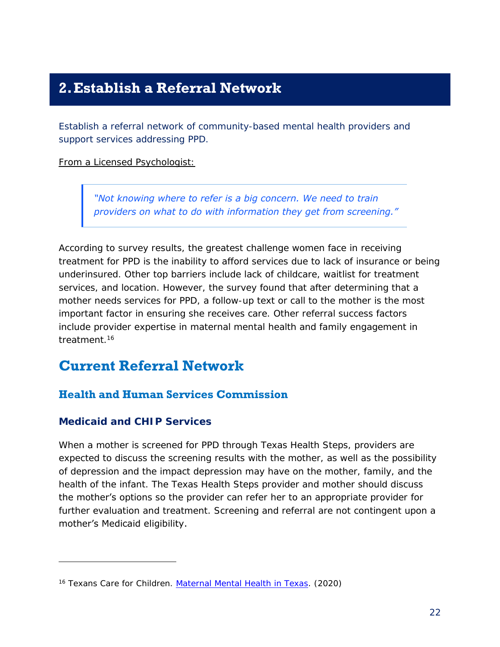### <span id="page-24-0"></span>**2.Establish a Referral Network**

*Establish a referral network of community-based mental health providers and support services addressing PPD.*

From a Licensed Psychologist:

*"Not knowing where to refer is a big concern. We need to train providers on what to do with information they get from screening."*

According to survey results, the greatest challenge women face in receiving treatment for PPD is the inability to afford services due to lack of insurance or being underinsured. Other top barriers include lack of childcare, waitlist for treatment services, and location. However, the survey found that after determining that a mother needs services for PPD, a follow-up text or call to the mother is the most important factor in ensuring she receives care. Other referral success factors include provider expertise in maternal mental health and family engagement in treatment<sup>16</sup>

### <span id="page-24-1"></span>**Current Referral Network**

#### <span id="page-24-2"></span>**Health and Human Services Commission**

#### **Medicaid and CHIP Services**

j

When a mother is screened for PPD through Texas Health Steps, providers are expected to discuss the screening results with the mother, as well as the possibility of depression and the impact depression may have on the mother, family, and the health of the infant. The Texas Health Steps provider and mother should discuss the mother's options so the provider can refer her to an appropriate provider for further evaluation and treatment. Screening and referral are not contingent upon a mother's Medicaid eligibility.

<sup>16</sup> Texans Care for Children. *[Maternal Mental Health in Texas](https://static1.squarespace.com/static/5728d34462cd94b84dc567ed/t/5f074a34406e70280293fc25/1594313273455/maternal-mental-health-challenges-survey-results.pdf/)*. (2020)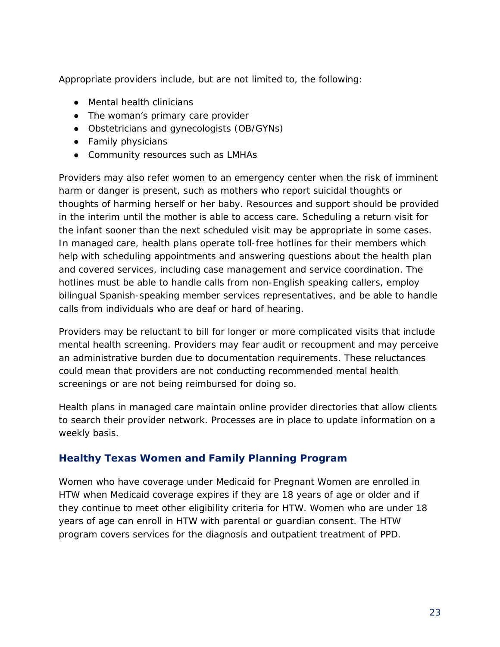Appropriate providers include, but are not limited to, the following:

- Mental health clinicians
- The woman's primary care provider
- Obstetricians and gynecologists (OB/GYNs)
- Family physicians
- Community resources such as LMHAs

Providers may also refer women to an emergency center when the risk of imminent harm or danger is present, such as mothers who report suicidal thoughts or thoughts of harming herself or her baby. Resources and support should be provided in the interim until the mother is able to access care. Scheduling a return visit for the infant sooner than the next scheduled visit may be appropriate in some cases. In managed care, health plans operate toll-free hotlines for their members which help with scheduling appointments and answering questions about the health plan and covered services, including case management and service coordination. The hotlines must be able to handle calls from non-English speaking callers, employ bilingual Spanish-speaking member services representatives, and be able to handle calls from individuals who are deaf or hard of hearing.

Providers may be reluctant to bill for longer or more complicated visits that include mental health screening. Providers may fear audit or recoupment and may perceive an administrative burden due to documentation requirements. These reluctances could mean that providers are not conducting recommended mental health screenings or are not being reimbursed for doing so.

Health plans in managed care maintain online provider directories that allow clients to search their provider network. Processes are in place to update information on a weekly basis.

#### **Healthy Texas Women and Family Planning Program**

Women who have coverage under Medicaid for Pregnant Women are enrolled in HTW when Medicaid coverage expires if they are 18 years of age or older and if they continue to meet other eligibility criteria for HTW. Women who are under 18 years of age can enroll in HTW with parental or guardian consent. The HTW program covers services for the diagnosis and outpatient treatment of PPD.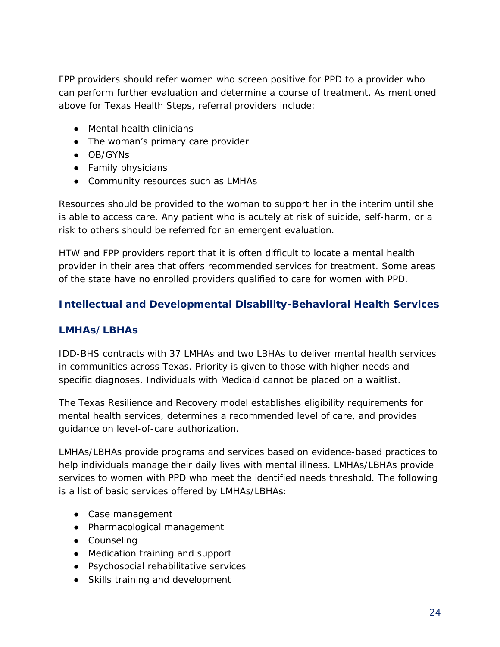FPP providers should refer women who screen positive for PPD to a provider who can perform further evaluation and determine a course of treatment. As mentioned above for Texas Health Steps, referral providers include:

- Mental health clinicians
- The woman's primary care provider
- OB/GYNs
- Family physicians
- Community resources such as LMHAs

Resources should be provided to the woman to support her in the interim until she is able to access care. Any patient who is acutely at risk of suicide, self-harm, or a risk to others should be referred for an emergent evaluation.

HTW and FPP providers report that it is often difficult to locate a mental health provider in their area that offers recommended services for treatment. Some areas of the state have no enrolled providers qualified to care for women with PPD.

#### **Intellectual and Developmental Disability-Behavioral Health Services**

#### *LMHAs/LBHAs*

IDD-BHS contracts with 37 LMHAs and two LBHAs to deliver mental health services in communities across Texas. Priority is given to those with higher needs and specific diagnoses. Individuals with Medicaid cannot be placed on a waitlist.

The Texas Resilience and Recovery model establishes eligibility requirements for mental health services, determines a recommended level of care, and provides guidance on level-of-care authorization.

LMHAs/LBHAs provide programs and services based on evidence-based practices to help individuals manage their daily lives with mental illness. LMHAs/LBHAs provide services to women with PPD who meet the identified needs threshold. The following is a list of basic services offered by LMHAs/LBHAs:

- Case management
- Pharmacological management
- Counseling
- Medication training and support
- Psychosocial rehabilitative services
- Skills training and development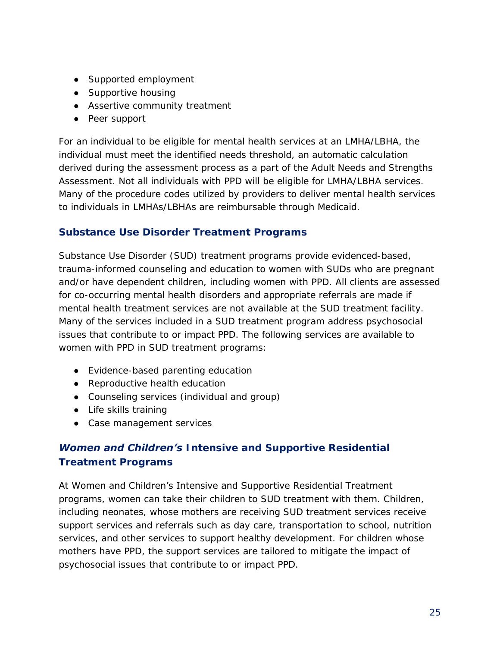- Supported employment
- Supportive housing
- Assertive community treatment
- Peer support

For an individual to be eligible for mental health services at an LMHA/LBHA, the individual must meet the identified needs threshold, an automatic calculation derived during the assessment process as a part of the Adult Needs and Strengths Assessment. Not all individuals with PPD will be eligible for LMHA/LBHA services. Many of the procedure codes utilized by providers to deliver mental health services to individuals in LMHAs/LBHAs are reimbursable through Medicaid.

#### *Substance Use Disorder Treatment Programs*

Substance Use Disorder (SUD) treatment programs provide evidenced-based, trauma-informed counseling and education to women with SUDs who are pregnant and/or have dependent children, including women with PPD. All clients are assessed for co-occurring mental health disorders and appropriate referrals are made if mental health treatment services are not available at the SUD treatment facility. Many of the services included in a SUD treatment program address psychosocial issues that contribute to or impact PPD. The following services are available to women with PPD in SUD treatment programs:

- Evidence-based parenting education
- Reproductive health education
- Counseling services (individual and group)
- Life skills training
- Case management services

#### *Women and Children's Intensive and Supportive Residential Treatment Programs*

#### At Women and Children's Intensive and Supportive Residential Treatment

programs, women can take their children to SUD treatment with them. Children, including neonates, whose mothers are receiving SUD treatment services receive support services and referrals such as day care, transportation to school, nutrition services, and other services to support healthy development. For children whose mothers have PPD, the support services are tailored to mitigate the impact of psychosocial issues that contribute to or impact PPD.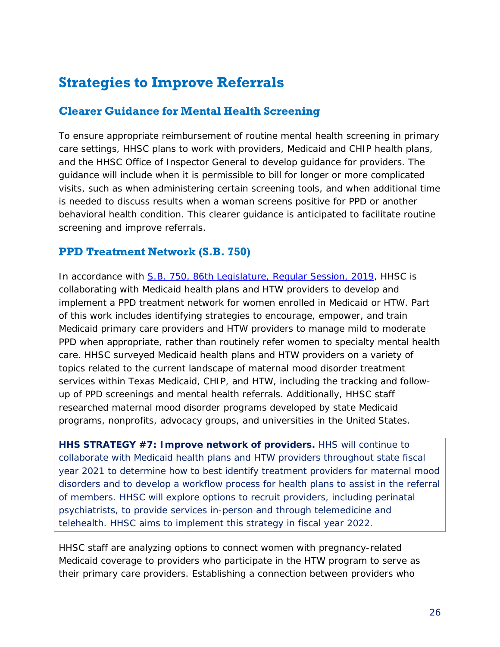### <span id="page-28-0"></span>**Strategies to Improve Referrals**

#### <span id="page-28-1"></span>**Clearer Guidance for Mental Health Screening**

To ensure appropriate reimbursement of routine mental health screening in primary care settings, HHSC plans to work with providers, Medicaid and CHIP health plans, and the HHSC Office of Inspector General to develop guidance for providers. The guidance will include when it is permissible to bill for longer or more complicated visits, such as when administering certain screening tools, and when additional time is needed to discuss results when a woman screens positive for PPD or another behavioral health condition. This clearer guidance is anticipated to facilitate routine screening and improve referrals.

#### <span id="page-28-2"></span>**PPD Treatment Network (S.B. 750)**

In accordance with S.B. [750, 86th Legislature, Regular Session, 2019,](https://capitol.texas.gov/BillLookup/Text.aspx?LegSess=86R&Bill=SB750) HHSC is collaborating with Medicaid health plans and HTW providers to develop and implement a PPD treatment network for women enrolled in Medicaid or HTW. Part of this work includes identifying strategies to encourage, empower, and train Medicaid primary care providers and HTW providers to manage mild to moderate PPD when appropriate, rather than routinely refer women to specialty mental health care. HHSC surveyed Medicaid health plans and HTW providers on a variety of topics related to the current landscape of maternal mood disorder treatment services within Texas Medicaid, CHIP, and HTW, including the tracking and followup of PPD screenings and mental health referrals. Additionally, HHSC staff researched maternal mood disorder programs developed by state Medicaid programs, nonprofits, advocacy groups, and universities in the United States.

*HHS STRATEGY #7: Improve network of providers. HHS will continue to collaborate with Medicaid health plans and HTW providers throughout state fiscal year 2021 to determine how to best identify treatment providers for maternal mood disorders and to develop a workflow process for health plans to assist in the referral of members. HHSC will explore options to recruit providers, including perinatal psychiatrists, to provide services in-person and through telemedicine and telehealth. HHSC aims to implement this strategy in fiscal year 2022.*

HHSC staff are analyzing options to connect women with pregnancy-related Medicaid coverage to providers who participate in the HTW program to serve as their primary care providers. Establishing a connection between providers who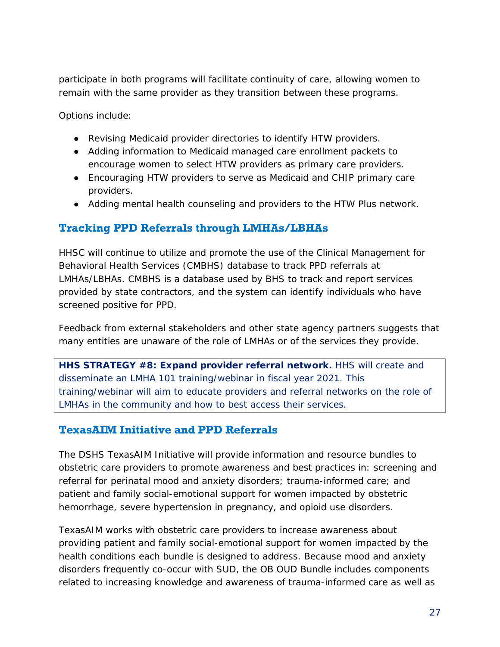participate in both programs will facilitate continuity of care, allowing women to remain with the same provider as they transition between these programs.

Options include:

- Revising Medicaid provider directories to identify HTW providers.
- Adding information to Medicaid managed care enrollment packets to encourage women to select HTW providers as primary care providers.
- Encouraging HTW providers to serve as Medicaid and CHIP primary care providers.
- Adding mental health counseling and providers to the HTW Plus network.

#### <span id="page-29-0"></span>**Tracking PPD Referrals through LMHAs/LBHAs**

HHSC will continue to utilize and promote the use of the Clinical Management for Behavioral Health Services (CMBHS) database to track PPD referrals at LMHAs/LBHAs. CMBHS is a database used by BHS to track and report services provided by state contractors, and the system can identify individuals who have screened positive for PPD.

Feedback from external stakeholders and other state agency partners suggests that many entities are unaware of the role of LMHAs or of the services they provide.

*HHS STRATEGY #8: Expand provider referral network. HHS will create and disseminate an LMHA 101 training/webinar in fiscal year 2021. This training/webinar will aim to educate providers and referral networks on the role of LMHAs in the community and how to best access their services.*

#### <span id="page-29-1"></span>**TexasAIM Initiative and PPD Referrals**

The DSHS TexasAIM Initiative will provide information and resource bundles to obstetric care providers to promote awareness and best practices in: screening and referral for perinatal mood and anxiety disorders; trauma-informed care; and patient and family social-emotional support for women impacted by obstetric hemorrhage, severe hypertension in pregnancy, and opioid use disorders.

TexasAIM works with obstetric care providers to increase awareness about providing patient and family social-emotional support for women impacted by the health conditions each bundle is designed to address. Because mood and anxiety disorders frequently co-occur with SUD, the OB OUD Bundle includes components related to increasing knowledge and awareness of trauma-informed care as well as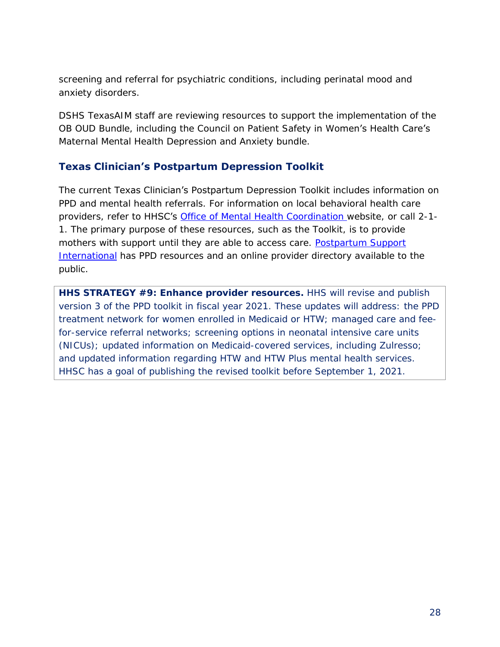screening and referral for psychiatric conditions, including perinatal mood and anxiety disorders.

DSHS TexasAIM staff are reviewing resources to support the implementation of the OB OUD Bundle, including the Council on Patient Safety in Women's Health Care's Maternal Mental Health Depression and Anxiety bundle.

#### **Texas Clinician's Postpartum Depression Toolkit**

The current Texas Clinician's Postpartum Depression Toolkit includes information on PPD and mental health referrals. For information on local behavioral health care providers, refer to HHSC's [Office of Mental Health Coordination](http://mentalhealthtx.org/) website, or call 2-1- 1. The primary purpose of these resources, such as the Toolkit, is to provide mothers with support until they are able to access care. Postpartum Support [International](https://www.postpartum.net/) has PPD resources and an online provider directory available to the public.

*HHS STRATEGY #9: Enhance provider resources. HHS will revise and publish version 3 of the PPD toolkit in fiscal year 2021. These updates will address: the PPD treatment network for women enrolled in Medicaid or HTW; managed care and feefor-service referral networks; screening options in neonatal intensive care units (NICUs); updated information on Medicaid-covered services, including Zulresso; and updated information regarding HTW and HTW Plus mental health services. HHSC has a goal of publishing the revised toolkit before September 1, 2021.*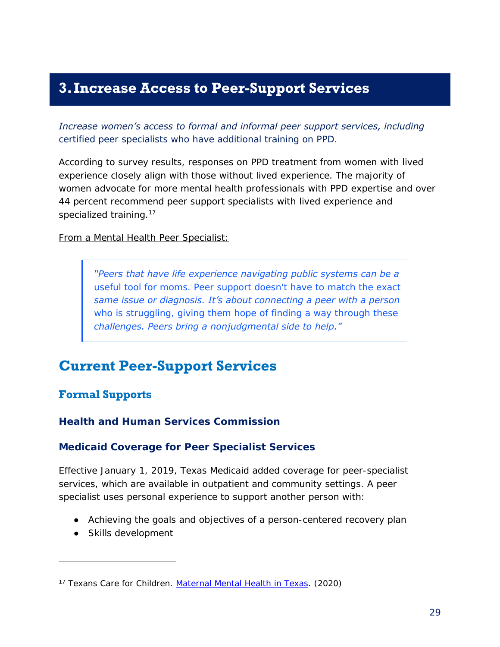### <span id="page-31-0"></span>**3.Increase Access to Peer-Support Services**

*Increase women's access to formal and informal peer support services, including certified peer specialists who have additional training on PPD.*

According to survey results, responses on PPD treatment from women with lived experience closely align with those without lived experience. The majority of women advocate for more mental health professionals with PPD expertise and over 44 percent recommend peer support specialists with lived experience and specialized training.<sup>17</sup>

From a Mental Health Peer Specialist:

*"Peers that have life experience navigating public systems can be a useful tool for moms. Peer support doesn't have to match the exact same issue or diagnosis. It's about connecting a peer with a person who is struggling, giving them hope of finding a way through these challenges. Peers bring a nonjudgmental side to help."*

### <span id="page-31-1"></span>**Current Peer-Support Services**

#### <span id="page-31-2"></span>**Formal Supports**

**Health and Human Services Commission**

#### *Medicaid Coverage for Peer Specialist Services*

Effective January 1, 2019, Texas Medicaid added coverage for peer-specialist services, which are available in outpatient and community settings. A peer specialist uses personal experience to support another person with:

- Achieving the goals and objectives of a person-centered recovery plan
- Skills development

j

<sup>17</sup> Texans Care for Children. *[Maternal Mental Health in Texas](https://static1.squarespace.com/static/5728d34462cd94b84dc567ed/t/5f074a34406e70280293fc25/1594313273455/maternal-mental-health-challenges-survey-results.pdf/)*. (2020)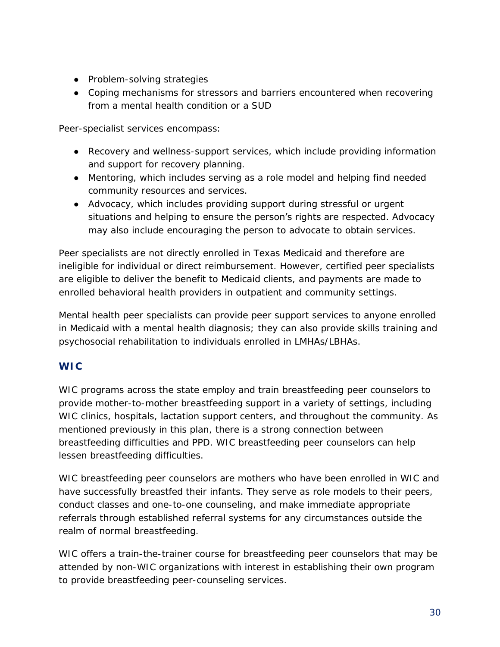- Problem-solving strategies
- Coping mechanisms for stressors and barriers encountered when recovering from a mental health condition or a SUD

Peer-specialist services encompass:

- Recovery and wellness-support services, which include providing information and support for recovery planning.
- Mentoring, which includes serving as a role model and helping find needed community resources and services.
- Advocacy, which includes providing support during stressful or urgent situations and helping to ensure the person's rights are respected. Advocacy may also include encouraging the person to advocate to obtain services.

Peer specialists are not directly enrolled in Texas Medicaid and therefore are ineligible for individual or direct reimbursement. However, certified peer specialists are eligible to deliver the benefit to Medicaid clients, and payments are made to enrolled behavioral health providers in outpatient and community settings.

Mental health peer specialists can provide peer support services to anyone enrolled in Medicaid with a mental health diagnosis; they can also provide skills training and psychosocial rehabilitation to individuals enrolled in LMHAs/LBHAs.

#### *WIC*

WIC programs across the state employ and train breastfeeding peer counselors to provide mother-to-mother breastfeeding support in a variety of settings, including WIC clinics, hospitals, lactation support centers, and throughout the community. As mentioned previously in this plan, there is a strong connection between breastfeeding difficulties and PPD. WIC breastfeeding peer counselors can help lessen breastfeeding difficulties.

WIC breastfeeding peer counselors are mothers who have been enrolled in WIC and have successfully breastfed their infants. They serve as role models to their peers, conduct classes and one-to-one counseling, and make immediate appropriate referrals through established referral systems for any circumstances outside the realm of normal breastfeeding.

WIC offers a train-the-trainer course for breastfeeding peer counselors that may be attended by non-WIC organizations with interest in establishing their own program to provide breastfeeding peer-counseling services.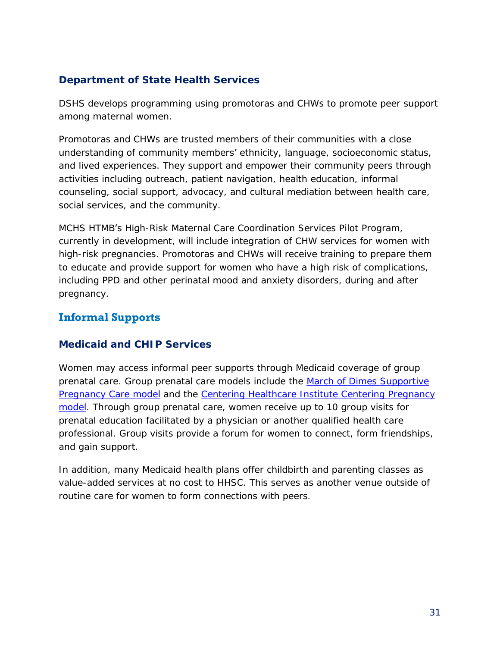#### **Department of State Health Services**

DSHS develops programming using promotoras and CHWs to promote peer support among maternal women.

Promotoras and CHWs are trusted members of their communities with a close understanding of community members' ethnicity, language, socioeconomic status, and lived experiences. They support and empower their community peers through activities including outreach, patient navigation, health education, informal counseling, social support, advocacy, and cultural mediation between health care, social services, and the community.

MCHS HTMB's High-Risk Maternal Care Coordination Services Pilot Program, currently in development, will include integration of CHW services for women with high-risk pregnancies. Promotoras and CHWs will receive training to prepare them to educate and provide support for women who have a high risk of complications, including PPD and other perinatal mood and anxiety disorders, during and after pregnancy.

#### <span id="page-33-0"></span>**Informal Supports**

#### **Medicaid and CHIP Services**

Women may access informal peer supports through Medicaid coverage of group prenatal care. Group prenatal care models include the [March of Dimes Supportive](https://www.marchofdimes.org/supportive-pregnancy-care/about-march-of-dimes-supportive-pregancy-care.aspx)  **[Pregnancy Care model](https://www.marchofdimes.org/supportive-pregnancy-care/about-march-of-dimes-supportive-pregancy-care.aspx) and the [Centering Healthcare Institute Centering](https://www.centeringhealthcare.org/what-we-do/centering-pregnancy) Pregnancy** [model.](https://www.centeringhealthcare.org/what-we-do/centering-pregnancy) Through group prenatal care, women receive up to 10 group visits for prenatal education facilitated by a physician or another qualified health care professional. Group visits provide a forum for women to connect, form friendships, and gain support.

In addition, many Medicaid health plans offer childbirth and parenting classes as value-added services at no cost to HHSC. This serves as another venue outside of routine care for women to form connections with peers.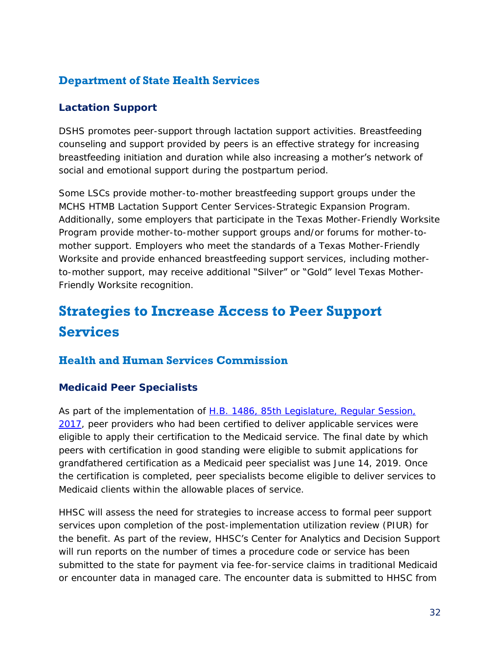#### <span id="page-34-0"></span>**Department of State Health Services**

#### **Lactation Support**

DSHS promotes peer-support through lactation support activities. Breastfeeding counseling and support provided by peers is an effective strategy for increasing breastfeeding initiation and duration while also increasing a mother's network of social and emotional support during the postpartum period.

Some LSCs provide mother-to-mother breastfeeding support groups under the MCHS HTMB Lactation Support Center Services-Strategic Expansion Program. Additionally, some employers that participate in the Texas Mother-Friendly Worksite Program provide mother-to-mother support groups and/or forums for mother-tomother support. Employers who meet the standards of a Texas Mother-Friendly Worksite and provide enhanced breastfeeding support services, including motherto-mother support, may receive additional "Silver" or "Gold" level Texas Mother-Friendly Worksite recognition.

### <span id="page-34-1"></span>**Strategies to Increase Access to Peer Support Services**

#### <span id="page-34-2"></span>**Health and Human Services Commission**

#### **Medicaid Peer Specialists**

As part of the implementation of H.B. [1486, 85th Legislature, Regular Session,](https://capitol.texas.gov/BillLookup/History.aspx?LegSess=85R&Bill=HB1486)  [2017,](https://capitol.texas.gov/BillLookup/History.aspx?LegSess=85R&Bill=HB1486) peer providers who had been certified to deliver applicable services were eligible to apply their certification to the Medicaid service. The final date by which peers with certification in good standing were eligible to submit applications for grandfathered certification as a Medicaid peer specialist was June 14, 2019. Once the certification is completed, peer specialists become eligible to deliver services to Medicaid clients within the allowable places of service.

HHSC will assess the need for strategies to increase access to formal peer support services upon completion of the post-implementation utilization review (PIUR) for the benefit. As part of the review, HHSC's Center for Analytics and Decision Support will run reports on the number of times a procedure code or service has been submitted to the state for payment via fee-for-service claims in traditional Medicaid or encounter data in managed care. The encounter data is submitted to HHSC from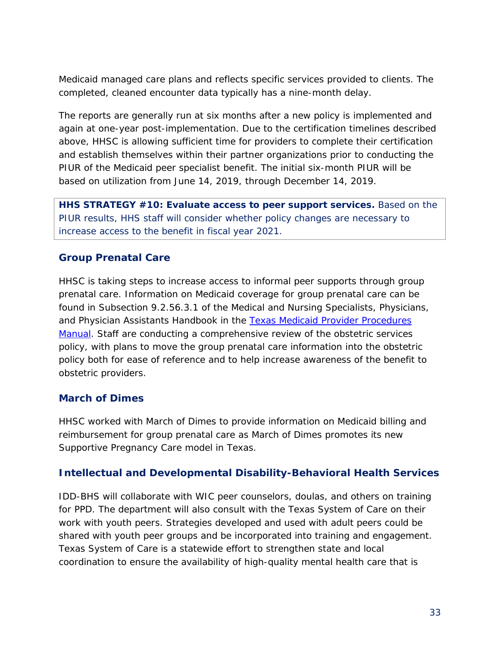Medicaid managed care plans and reflects specific services provided to clients. The completed, cleaned encounter data typically has a nine-month delay.

The reports are generally run at six months after a new policy is implemented and again at one-year post-implementation. Due to the certification timelines described above, HHSC is allowing sufficient time for providers to complete their certification and establish themselves within their partner organizations prior to conducting the PIUR of the Medicaid peer specialist benefit. The initial six-month PIUR will be based on utilization from June 14, 2019, through December 14, 2019.

*HHS STRATEGY #10: Evaluate access to peer support services. Based on the PIUR results, HHS staff will consider whether policy changes are necessary to increase access to the benefit in fiscal year 2021.*

#### **Group Prenatal Care**

HHSC is taking steps to increase access to informal peer supports through group prenatal care. Information on Medicaid coverage for group prenatal care can be found in Subsection 9.2.56.3.1 of the Medical and Nursing Specialists, Physicians, and Physician Assistants Handbook in the Texas Medicaid Provider Procedures [Manual.](http://www.tmhp.com/Manuals_HTML1/TMPPM/Current/index.html) Staff are conducting a comprehensive review of the obstetric services policy, with plans to move the group prenatal care information into the obstetric policy both for ease of reference and to help increase awareness of the benefit to obstetric providers.

#### **March of Dimes**

HHSC worked with March of Dimes to provide information on Medicaid billing and reimbursement for group prenatal care as March of Dimes promotes its new Supportive Pregnancy Care model in Texas.

#### **Intellectual and Developmental Disability-Behavioral Health Services**

IDD-BHS will collaborate with WIC peer counselors, doulas, and others on training for PPD. The department will also consult with the Texas System of Care on their work with youth peers. Strategies developed and used with adult peers could be shared with youth peer groups and be incorporated into training and engagement. Texas System of Care is a statewide effort to strengthen state and local coordination to ensure the availability of high-quality mental health care that is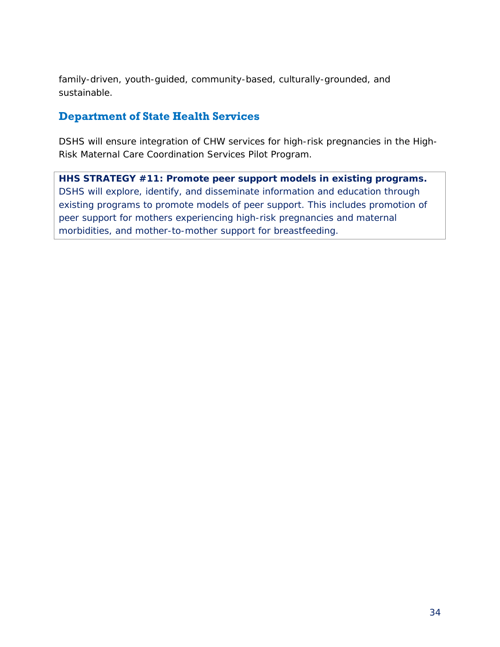family-driven, youth-guided, community-based, culturally-grounded, and sustainable.

#### <span id="page-36-0"></span>**Department of State Health Services**

DSHS will ensure integration of CHW services for high-risk pregnancies in the High-Risk Maternal Care Coordination Services Pilot Program.

*HHS STRATEGY #11: Promote peer support models in existing programs. DSHS will explore, identify, and disseminate information and education through existing programs to promote models of peer support. This includes promotion of peer support for mothers experiencing high-risk pregnancies and maternal morbidities, and mother-to-mother support for breastfeeding.*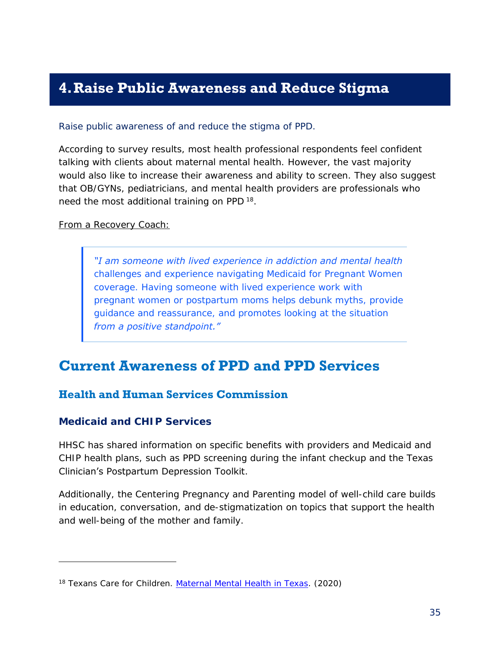### <span id="page-37-0"></span>**4.Raise Public Awareness and Reduce Stigma**

#### *Raise public awareness of and reduce the stigma of PPD.*

According to survey results, most health professional respondents feel confident talking with clients about maternal mental health. However, the vast majority would also like to increase their awareness and ability to screen. They also suggest that OB/GYNs, pediatricians, and mental health providers are professionals who need the most additional training on PPD<sup>18</sup>.

#### From a Recovery Coach:

*"I am someone with lived experience in addiction and mental health challenges and experience navigating Medicaid for Pregnant Women coverage. Having someone with lived experience work with pregnant women or postpartum moms helps debunk myths, provide guidance and reassurance, and promotes looking at the situation from a positive standpoint."*

### <span id="page-37-1"></span>**Current Awareness of PPD and PPD Services**

#### <span id="page-37-2"></span>**Health and Human Services Commission**

#### **Medicaid and CHIP Services**

j

HHSC has shared information on specific benefits with providers and Medicaid and CHIP health plans, such as PPD screening during the infant checkup and the Texas Clinician's Postpartum Depression Toolkit.

Additionally, the [Centering Pregnancy and Parenting model](https://www.centeringhealthcare.org/what-we-do/centering-parenting) of well-child care builds in education, conversation, and de-stigmatization on topics that support the health and well-being of the mother and family.

<sup>18</sup> Texans Care for Children. *[Maternal Mental Health in Texas](https://static1.squarespace.com/static/5728d34462cd94b84dc567ed/t/5f074a34406e70280293fc25/1594313273455/maternal-mental-health-challenges-survey-results.pdf/)*. (2020)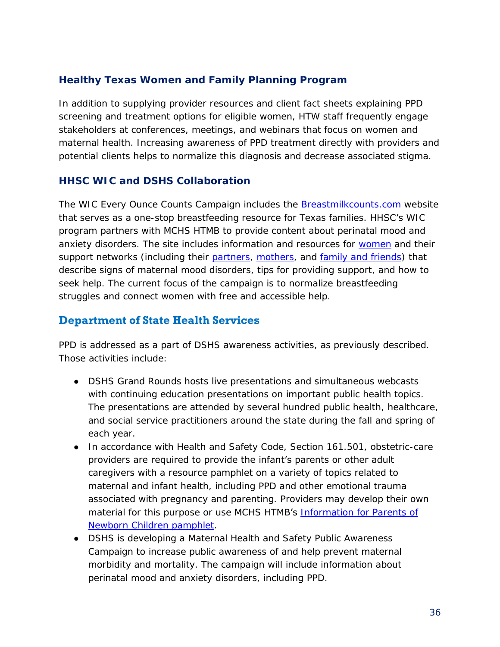#### **Healthy Texas Women and Family Planning Program**

In addition to supplying provider resources and client fact sheets explaining PPD screening and treatment options for eligible women, HTW staff frequently engage stakeholders at conferences, meetings, and webinars that focus on women and maternal health. Increasing awareness of PPD treatment directly with providers and potential clients helps to normalize this diagnosis and decrease associated stigma.

#### **HHSC WIC and DSHS Collaboration**

The WIC Every Ounce Counts Campaign includes the **[Breastmilkcounts.com](https://www.breastmilkcounts.com/)** website that serves as a one-stop breastfeeding resource for Texas families. **HHSC's** WIC program partners with MCHS HTMB to provide content about perinatal mood and anxiety disorders. The site includes information and resources for [women](https://www.breastmilkcounts.com/self-care/mental-and-emotional-health/) and their support networks (including their [partners,](https://www.breastmilkcounts.com/teamwork/for-dad/) [mothers,](https://www.breastmilkcounts.com/teamwork/for-grandma/) and [family and friends\)](https://www.breastmilkcounts.com/teamwork/friends-and-family/) that describe signs of maternal mood disorders, tips for providing support, and how to seek help. The current focus of the campaign is to normalize breastfeeding struggles and connect women with free and accessible help.

#### <span id="page-38-0"></span>**Department of State Health Services**

PPD is addressed as a part of DSHS awareness activities, as previously described. Those activities include:

- DSHS Grand Rounds hosts live presentations and simultaneous webcasts with continuing education presentations on important public health topics. The presentations are attended by several hundred public health, healthcare, and social service practitioners around the state during the fall and spring of each year.
- In accordance with Health and Safety Code, Section 161.501, obstetric-care providers are required to provide the infant's parents or other adult caregivers with a resource pamphlet on a variety of topics related to maternal and infant health, including PPD and other emotional trauma associated with pregnancy and parenting. Providers may develop their own material for this purpose or use MCHS HTMB's Information for Parents of [Newborn Children pamphlet.](https://www.dshs.texas.gov/mch/parents_of_newborn.shtm?terms=%22Information%20for%20Parents%20of%20Newborn%20Children%22)
- DSHS is developing a Maternal Health and Safety Public Awareness Campaign to increase public awareness of and help prevent maternal morbidity and mortality. The campaign will include information about perinatal mood and anxiety disorders, including PPD.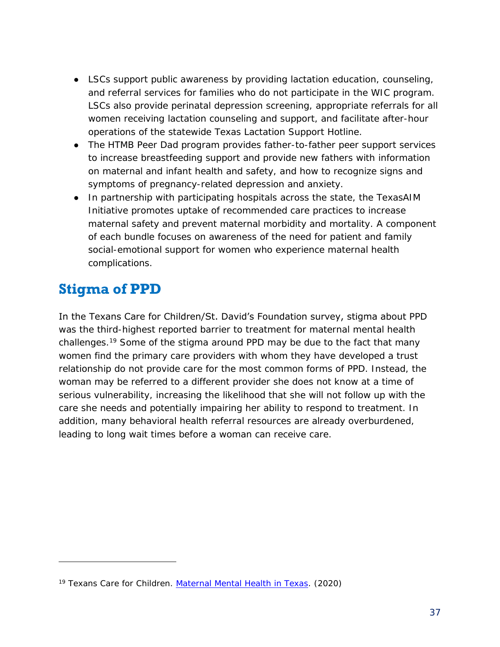- LSCs support public awareness by providing lactation education, counseling, and referral services for families who do not participate in the WIC program. LSCs also provide perinatal depression screening, appropriate referrals for all women receiving lactation counseling and support, and facilitate after-hour operations of the statewide Texas Lactation Support Hotline.
- The HTMB Peer Dad program provides father-to-father peer support services to increase breastfeeding support and provide new fathers with information on maternal and infant health and safety, and how to recognize signs and symptoms of pregnancy-related depression and anxiety.
- In partnership with participating hospitals across the state, the TexasAIM Initiative promotes uptake of recommended care practices to increase maternal safety and prevent maternal morbidity and mortality. A component of each bundle focuses on awareness of the need for patient and family social-emotional support for women who experience maternal health complications.

### <span id="page-39-0"></span>**Stigma of PPD**

j

In the Texans Care for Children/St. David's Foundation survey, stigma about PPD was the third-highest reported barrier to treatment for maternal mental health challenges. <sup>19</sup> Some of the stigma around PPD may be due to the fact that many women find the primary care providers with whom they have developed a trust relationship do not provide care for the most common forms of PPD. Instead, the woman may be referred to a different provider she does not know at a time of serious vulnerability, increasing the likelihood that she will not follow up with the care she needs and potentially impairing her ability to respond to treatment. In addition, many behavioral health referral resources are already overburdened, leading to long wait times before a woman can receive care.

<sup>19</sup> Texans Care for Children. *[Maternal Mental Health in Texas](https://static1.squarespace.com/static/5728d34462cd94b84dc567ed/t/5f074a34406e70280293fc25/1594313273455/maternal-mental-health-challenges-survey-results.pdf/)*. (2020)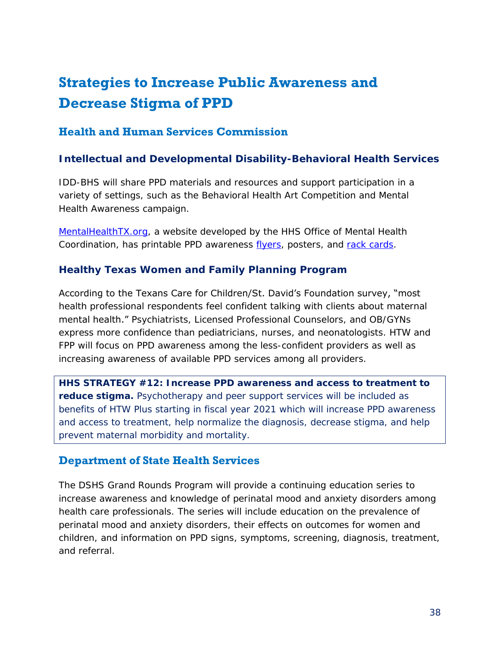### <span id="page-40-0"></span>**Strategies to Increase Public Awareness and Decrease Stigma of PPD**

#### <span id="page-40-1"></span>**Health and Human Services Commission**

#### **Intellectual and Developmental Disability-Behavioral Health Services**

IDD-BHS will share PPD materials and resources and support participation in a variety of settings, such as the Behavioral Health Art Competition and Mental Health Awareness campaign.

[MentalHealthTX.org,](https://mentalhealthtx.org/) a website developed by the HHS Office of Mental Health Coordination, has printable PPD awareness [flyers,](https://hhs.texas.gov/sites/default/files/documents/services/health/mhsa/print-social/mhsa-print-ppd-flyer-1.pdf) posters, and [rack cards.](https://hhs.texas.gov/sites/default/files/documents/services/health/mhsa/print-social/mhsa-print-ppd-rack-cards.pdf)

#### **Healthy Texas Women and Family Planning Program**

According to the Texans Care for Children/St. David's Foundation survey, "most health professional respondents feel confident talking with clients about maternal mental health." Psychiatrists, Licensed Professional Counselors, and OB/GYNs express more confidence than pediatricians, nurses, and neonatologists. HTW and FPP will focus on PPD awareness among the less-confident providers as well as increasing awareness of available PPD services among all providers.

*HHS STRATEGY #12: Increase PPD awareness and access to treatment to reduce stigma. Psychotherapy and peer support services will be included as benefits of HTW Plus starting in fiscal year 2021 which will increase PPD awareness and access to treatment, help normalize the diagnosis, decrease stigma, and help prevent maternal morbidity and mortality.*

#### <span id="page-40-2"></span>**Department of State Health Services**

The DSHS Grand Rounds Program will provide a continuing education series to increase awareness and knowledge of perinatal mood and anxiety disorders among health care professionals. The series will include education on the prevalence of perinatal mood and anxiety disorders, their effects on outcomes for women and children, and information on PPD signs, symptoms, screening, diagnosis, treatment, and referral*.*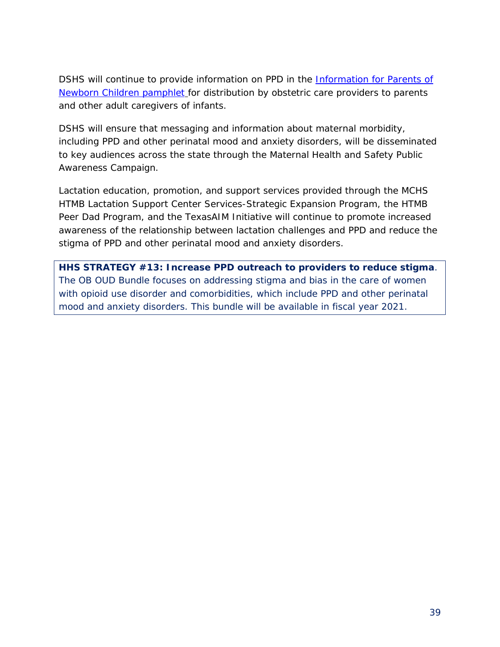DSHS will continue to provide information on PPD in the *Information for Parents of* [Newborn Children pamphlet](https://www.dshs.texas.gov/mch/parents_of_newborn.shtm?tems=%22Information%20for%20Parents%20of%20Newborn%20Children%22) for distribution by obstetric care providers to parents and other adult caregivers of infants.

DSHS will ensure that messaging and information about maternal morbidity, including PPD and other perinatal mood and anxiety disorders, will be disseminated to key audiences across the state through the Maternal Health and Safety Public Awareness Campaign.

Lactation education, promotion, and support services provided through the MCHS HTMB Lactation Support Center Services-Strategic Expansion Program, the HTMB Peer Dad Program, and the TexasAIM Initiative will continue to promote increased awareness of the relationship between lactation challenges and PPD and reduce the stigma of PPD and other perinatal mood and anxiety disorders.

*HHS STRATEGY #13: Increase PPD outreach to providers to reduce stigma. The OB OUD Bundle focuses on addressing stigma and bias in the care of women with opioid use disorder and comorbidities, which include PPD and other perinatal mood and anxiety disorders. This bundle will be available in fiscal year 2021.*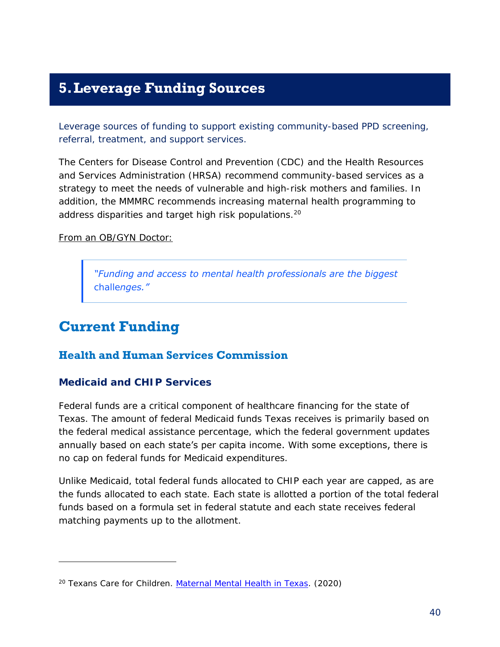### <span id="page-42-0"></span>**5.Leverage Funding Sources**

*Leverage sources of funding to support existing community-based PPD screening, referral, treatment, and support services.*

The Centers for Disease Control and Prevention (CDC) and the Health Resources and Services Administration (HRSA) recommend community-based services as a strategy to meet the needs of vulnerable and high-risk mothers and families. In addition, the MMMRC recommends increasing maternal health programming to address disparities and target high risk populations.<sup>20</sup>

From an OB/GYN Doctor:

*"Funding and access to mental health professionals are the biggest challenges."*

### <span id="page-42-1"></span>**Current Funding**

j

#### <span id="page-42-2"></span>**Health and Human Services Commission**

#### **Medicaid and CHIP Services**

Federal funds are a critical component of healthcare financing for the state of Texas. The amount of federal Medicaid funds Texas receives is primarily based on the federal medical assistance percentage, which the federal government updates annually based on each state's per capita income. With some exceptions, there is no cap on federal funds for Medicaid expenditures.

Unlike Medicaid, total federal funds allocated to CHIP each year are capped, as are the funds allocated to each state. Each state is allotted a portion of the total federal funds based on a formula set in federal statute and each state receives federal matching payments up to the allotment.

<sup>20</sup> Texans Care for Children. *[Maternal Mental Health in Texas](https://static1.squarespace.com/static/5728d34462cd94b84dc567ed/t/5f074a34406e70280293fc25/1594313273455/maternal-mental-health-challenges-survey-results.pdf/)*. (2020)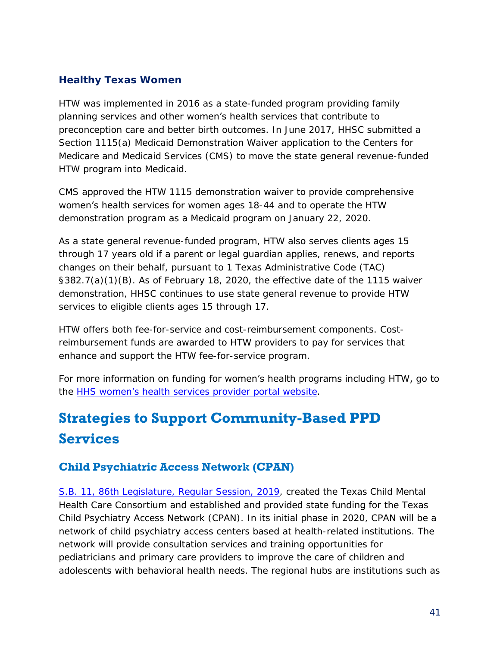#### **Healthy Texas Women**

HTW was implemented in 2016 as a state-funded program providing family planning services and other women's health services that contribute to preconception care and better birth outcomes. In June 2017, HHSC submitted a Section 1115(a) Medicaid Demonstration Waiver application to the Centers for Medicare and Medicaid Services (CMS) to move the state general revenue-funded HTW program into Medicaid.

CMS approved the HTW 1115 demonstration waiver to provide comprehensive women's health services for women ages 18-44 and to operate the HTW demonstration program as a Medicaid program on January 22, 2020.

As a state general revenue-funded program, HTW also serves clients ages 15 through 17 years old if a parent or legal guardian applies, renews, and reports changes on their behalf, pursuant to 1 Texas Administrative Code (TAC) §382.7(a)(1)(B). As of February 18, 2020, the effective date of the 1115 waiver demonstration, HHSC continues to use state general revenue to provide HTW services to eligible clients ages 15 through 17.

HTW offers both fee-for-service and cost-reimbursement components. Costreimbursement funds are awarded to HTW providers to pay for services that enhance and support the HTW fee-for-service program.

For more information on funding for women's health programs including HTW, go to the HHS women's [health services provider portal website.](https://hhs.texas.gov/doing-business-hhs/provider-portals/health-services-providers/womens-health-services)

### <span id="page-43-0"></span>**Strategies to Support Community-Based PPD Services**

#### <span id="page-43-1"></span>**Child Psychiatric Access Network (CPAN)**

S.B. [11, 86th Legislature, Regular Session, 2019,](https://capitol.texas.gov/BillLookup/History.aspx?LegSess=86R&Bill=SB11) created the Texas Child Mental Health Care Consortium and established and provided state funding for the Texas Child Psychiatry Access Network (CPAN). In its initial phase in 2020, CPAN will be a network of child psychiatry access centers based at health-related institutions. The network will provide consultation services and training opportunities for pediatricians and primary care providers to improve the care of children and adolescents with behavioral health needs. The regional hubs are institutions such as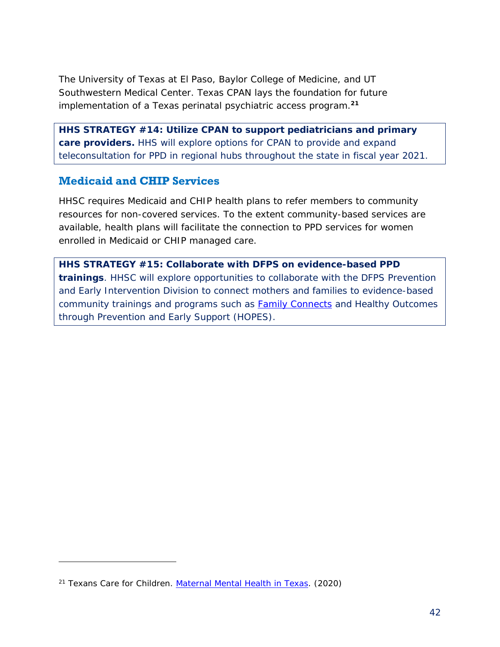The University of Texas at El Paso, Baylor College of Medicine, and UT Southwestern Medical Center. Texas CPAN lays the foundation for future implementation of a Texas perinatal psychiatric access program.**<sup>21</sup>**

*HHS STRATEGY #14: Utilize CPAN to support pediatricians and primary care providers. HHS will explore options for CPAN to provide and expand teleconsultation for PPD in regional hubs throughout the state in fiscal year 2021.*

#### <span id="page-44-0"></span>**Medicaid and CHIP Services**

HHSC requires Medicaid and CHIP health plans to refer members to community resources for non-covered services. To the extent community-based services are available, health plans will facilitate the connection to PPD services for women enrolled in Medicaid or CHIP managed care.

*HHS STRATEGY #15: Collaborate with DFPS on evidence-based PPD trainings. HHSC will explore opportunities to collaborate with the DFPS Prevention and Early Intervention Division to connect mothers and families to evidence-based community trainings and programs such as [Family Connects](https://www.familyconnectstexas.org/for-providers) and Healthy Outcomes through Prevention and Early Support (HOPES).*

j

<sup>21</sup> Texans Care for Children. *[Maternal Mental Health in Texas](https://static1.squarespace.com/static/5728d34462cd94b84dc567ed/t/5f074a34406e70280293fc25/1594313273455/maternal-mental-health-challenges-survey-results.pdf/)*. (2020)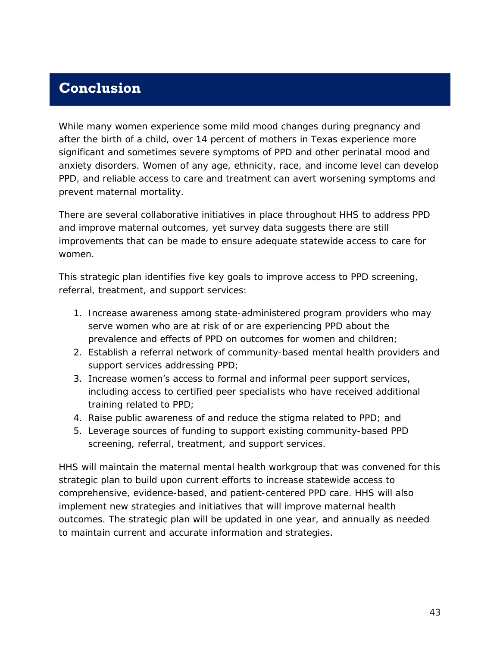### <span id="page-45-0"></span>**Conclusion**

While many women experience some mild mood changes during pregnancy and after the birth of a child, over 14 percent of mothers in Texas experience more significant and sometimes severe symptoms of PPD and other perinatal mood and anxiety disorders. Women of any age, ethnicity, race, and income level can develop PPD, and reliable access to care and treatment can avert worsening symptoms and prevent maternal mortality.

There are several collaborative initiatives in place throughout HHS to address PPD and improve maternal outcomes, yet survey data suggests there are still improvements that can be made to ensure adequate statewide access to care for women.

This strategic plan identifies five key goals to improve access to PPD screening, referral, treatment, and support services:

- 1. Increase awareness among state-administered program providers who may serve women who are at risk of or are experiencing PPD about the prevalence and effects of PPD on outcomes for women and children;
- 2. Establish a referral network of community-based mental health providers and support services addressing PPD;
- 3. Increase women's access to formal and informal peer support services, including access to certified peer specialists who have received additional training related to PPD;
- 4. Raise public awareness of and reduce the stigma related to PPD; and
- 5. Leverage sources of funding to support existing community-based PPD screening, referral, treatment, and support services.

HHS will maintain the maternal mental health workgroup that was convened for this strategic plan to build upon current efforts to increase statewide access to comprehensive, evidence-based, and patient-centered PPD care. HHS will also implement new strategies and initiatives that will improve maternal health outcomes. The strategic plan will be updated in one year, and annually as needed to maintain current and accurate information and strategies.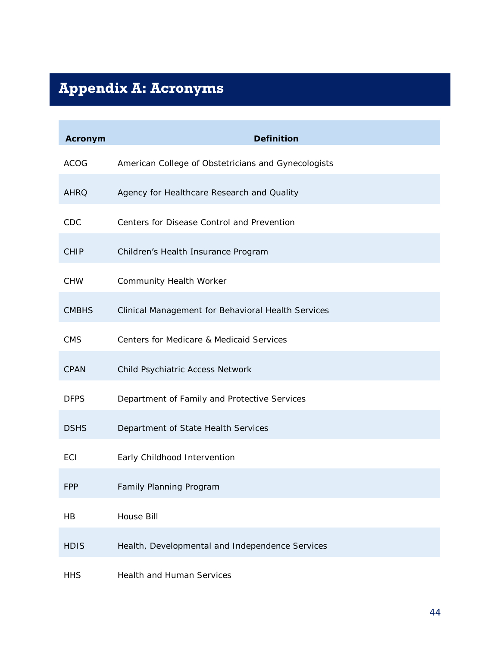# <span id="page-46-0"></span>**Appendix A: Acronyms**

**COL** 

| Acronym      | Definition                                          |
|--------------|-----------------------------------------------------|
| <b>ACOG</b>  | American College of Obstetricians and Gynecologists |
| <b>AHRQ</b>  | Agency for Healthcare Research and Quality          |
| CDC          | Centers for Disease Control and Prevention          |
| <b>CHIP</b>  | Children's Health Insurance Program                 |
| CHW          | Community Health Worker                             |
| <b>CMBHS</b> | Clinical Management for Behavioral Health Services  |
| <b>CMS</b>   | Centers for Medicare & Medicaid Services            |
| CPAN         | Child Psychiatric Access Network                    |
| <b>DFPS</b>  | Department of Family and Protective Services        |
| <b>DSHS</b>  | Department of State Health Services                 |
| ECI          | Early Childhood Intervention                        |
| <b>FPP</b>   | Family Planning Program                             |
| <b>HB</b>    | House Bill                                          |
| <b>HDIS</b>  | Health, Developmental and Independence Services     |
| <b>HHS</b>   | Health and Human Services                           |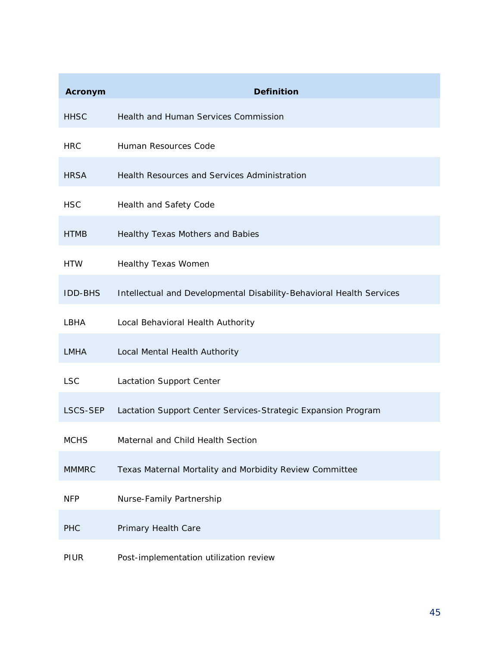| Acronym        | Definition                                                           |
|----------------|----------------------------------------------------------------------|
| <b>HHSC</b>    | Health and Human Services Commission                                 |
| <b>HRC</b>     | Human Resources Code                                                 |
| <b>HRSA</b>    | Health Resources and Services Administration                         |
| <b>HSC</b>     | Health and Safety Code                                               |
| <b>HTMB</b>    | Healthy Texas Mothers and Babies                                     |
| <b>HTW</b>     | Healthy Texas Women                                                  |
| <b>IDD-BHS</b> | Intellectual and Developmental Disability-Behavioral Health Services |
| LBHA           | Local Behavioral Health Authority                                    |
| <b>LMHA</b>    | Local Mental Health Authority                                        |
| <b>LSC</b>     | Lactation Support Center                                             |
| LSCS-SEP       | Lactation Support Center Services-Strategic Expansion Program        |
| <b>MCHS</b>    | Maternal and Child Health Section                                    |
| <b>MMMRC</b>   | Texas Maternal Mortality and Morbidity Review Committee              |
| <b>NFP</b>     | Nurse-Family Partnership                                             |
| PHC            | Primary Health Care                                                  |
| PIUR           | Post-implementation utilization review                               |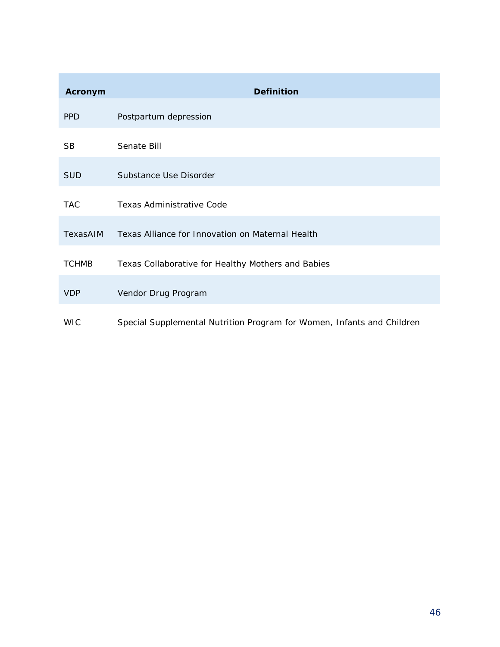| Acronym      | Definition                                                             |
|--------------|------------------------------------------------------------------------|
| <b>PPD</b>   | Postpartum depression                                                  |
| SB           | Senate Bill                                                            |
| <b>SUD</b>   | Substance Use Disorder                                                 |
| <b>TAC</b>   | Texas Administrative Code                                              |
| TexasAIM     | Texas Alliance for Innovation on Maternal Health                       |
| <b>TCHMB</b> | Texas Collaborative for Healthy Mothers and Babies                     |
| <b>VDP</b>   | Vendor Drug Program                                                    |
| <b>WIC</b>   | Special Supplemental Nutrition Program for Women, Infants and Children |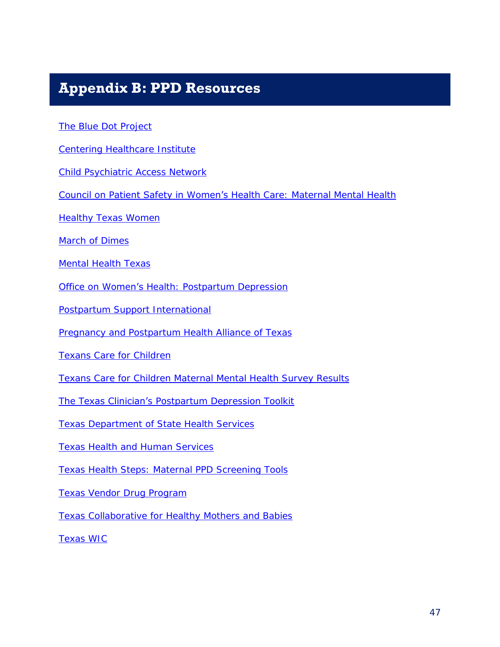### <span id="page-49-0"></span>**Appendix B: PPD Resources**

[The Blue Dot Project](http://www.thebluedotproject.org/)

[Centering Healthcare Institute](https://www.centeringhealthcare.org/)

[Child Psychiatric Access Network](https://med.uth.edu/psychiatry/child-psychiatric-access-network-cpan/)

[Council on Patient Safety in Women's Heal](https://safehealthcareforeverywoman.org/patient-safety-bundles/maternal-mental-health-depression-and-anxiety/)th Care: Maternal Mental Health

**[Healthy Texas Women](https://www.healthytexaswomen.org/)** 

[March of Dimes](https://www.marchofdimes.org/)

[Mental Health Texas](https://mentalhealthtx.org/)

**Office on Women's He[alth: Postpartum Depression](https://www.womenshealth.gov/mental-health/mental-health-conditions/postpartum-depression)** 

[Postpartum Support International](https://www.postpartum.net/)

[Pregnancy and Postpartum Health Alliance of Texas](https://www.pphatx.org/)

[Texans Care for Children](https://txchildren.org/)

[Texans Care for Children Maternal Mental Health Survey Results](https://static1.squarespace.com/static/5728d34462cd94b84dc567ed/t/5f074a34406e70280293fc25/1594313273455/maternal-mental-health-challenges-survey-results.pdf)

The Texas Clinician'[s Postpartum Depression Toolkit](https://hhs.texas.gov/sites/default/files/documents/doing-business-with-hhs/providers/health/women/tx-clinicians-ppd-toolkit.pdf)

[Texas Department of State Health Services](https://dshs.texas.gov/)

[Texas Health and Human Services](https://hhs.texas.gov/)

[Texas Health Steps: Maternal PPD Screening Tools](https://www.txhealthsteps.com/texas-health-steps-medicaid-resource-center)

[Texas Vendor Drug Program](https://www.txvendordrug.com/)

Texas Collaborative [for Healthy Mothers and Babies](https://www.tchmb.org/)

[Texas WIC](https://texaswic.org/)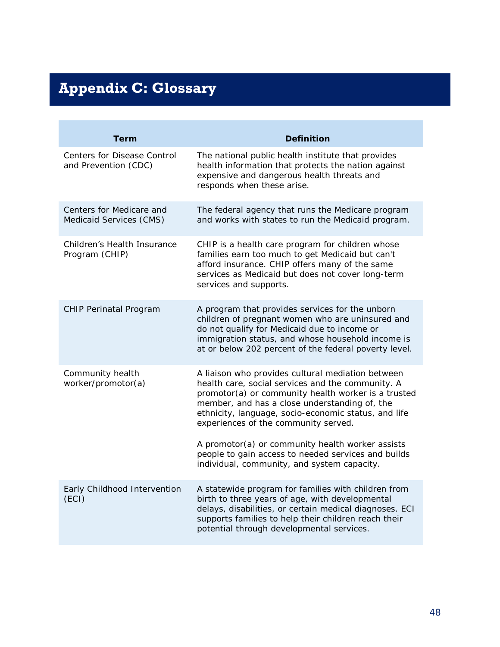# <span id="page-50-0"></span>**Appendix C: Glossary**

| Term                                                | Definition                                                                                                                                                                                                                                                                                                                                                                                                                |
|-----------------------------------------------------|---------------------------------------------------------------------------------------------------------------------------------------------------------------------------------------------------------------------------------------------------------------------------------------------------------------------------------------------------------------------------------------------------------------------------|
| Centers for Disease Control<br>and Prevention (CDC) | The national public health institute that provides<br>health information that protects the nation against<br>expensive and dangerous health threats and<br>responds when these arise.                                                                                                                                                                                                                                     |
| Centers for Medicare and<br>Medicaid Services (CMS) | The federal agency that runs the Medicare program<br>and works with states to run the Medicaid program.                                                                                                                                                                                                                                                                                                                   |
| Children's Health Insurance<br>Program (CHIP)       | CHIP is a health care program for children whose<br>families earn too much to get Medicaid but can't<br>afford insurance. CHIP offers many of the same<br>services as Medicaid but does not cover long-term<br>services and supports.                                                                                                                                                                                     |
| CHIP Perinatal Program                              | A program that provides services for the unborn<br>children of pregnant women who are uninsured and<br>do not qualify for Medicaid due to income or<br>immigration status, and whose household income is<br>at or below 202 percent of the federal poverty level.                                                                                                                                                         |
| Community health<br>worker/promotor(a)              | A liaison who provides cultural mediation between<br>health care, social services and the community. A<br>promotor(a) or community health worker is a trusted<br>member, and has a close understanding of, the<br>ethnicity, language, socio-economic status, and life<br>experiences of the community served.<br>A promotor(a) or community health worker assists<br>people to gain access to needed services and builds |
|                                                     | individual, community, and system capacity.                                                                                                                                                                                                                                                                                                                                                                               |
| Early Childhood Intervention<br>(ECI)               | A statewide program for families with children from<br>birth to three years of age, with developmental<br>delays, disabilities, or certain medical diagnoses. ECI<br>supports families to help their children reach their<br>potential through developmental services.                                                                                                                                                    |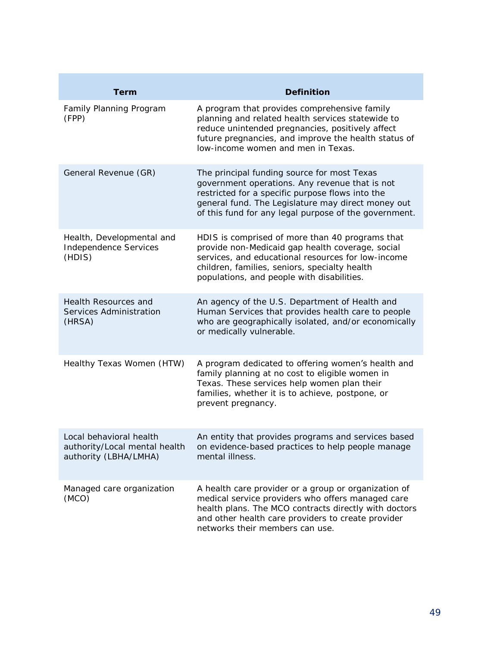| Term                                                                              | Definition                                                                                                                                                                                                                                                       |
|-----------------------------------------------------------------------------------|------------------------------------------------------------------------------------------------------------------------------------------------------------------------------------------------------------------------------------------------------------------|
| Family Planning Program<br>(FPP)                                                  | A program that provides comprehensive family<br>planning and related health services statewide to<br>reduce unintended pregnancies, positively affect<br>future pregnancies, and improve the health status of<br>low-income women and men in Texas.              |
| General Revenue (GR)                                                              | The principal funding source for most Texas<br>government operations. Any revenue that is not<br>restricted for a specific purpose flows into the<br>general fund. The Legislature may direct money out<br>of this fund for any legal purpose of the government. |
| Health, Developmental and<br>Independence Services<br>(HDIS)                      | HDIS is comprised of more than 40 programs that<br>provide non-Medicaid gap health coverage, social<br>services, and educational resources for low-income<br>children, families, seniors, specialty health<br>populations, and people with disabilities.         |
| Health Resources and<br>Services Administration<br>(HRSA)                         | An agency of the U.S. Department of Health and<br>Human Services that provides health care to people<br>who are geographically isolated, and/or economically<br>or medically vulnerable.                                                                         |
| Healthy Texas Women (HTW)                                                         | A program dedicated to offering women's health and<br>family planning at no cost to eligible women in<br>Texas. These services help women plan their<br>families, whether it is to achieve, postpone, or<br>prevent pregnancy.                                   |
| Local behavioral health<br>authority/Local mental health<br>authority (LBHA/LMHA) | An entity that provides programs and services based<br>on evidence-based practices to help people manage<br>mental illness.                                                                                                                                      |
| Managed care organization<br>(MCO)                                                | A health care provider or a group or organization of<br>medical service providers who offers managed care<br>health plans. The MCO contracts directly with doctors<br>and other health care providers to create provider<br>networks their members can use.      |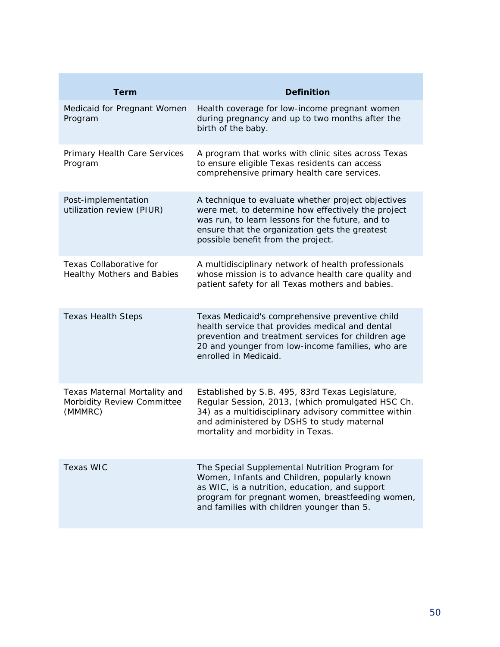| Term                                                                  | Definition                                                                                                                                                                                                                                           |
|-----------------------------------------------------------------------|------------------------------------------------------------------------------------------------------------------------------------------------------------------------------------------------------------------------------------------------------|
| Medicaid for Pregnant Women<br>Program                                | Health coverage for low-income pregnant women<br>during pregnancy and up to two months after the<br>birth of the baby.                                                                                                                               |
| Primary Health Care Services<br>Program                               | A program that works with clinic sites across Texas<br>to ensure eligible Texas residents can access<br>comprehensive primary health care services.                                                                                                  |
| Post-implementation<br>utilization review (PIUR)                      | A technique to evaluate whether project objectives<br>were met, to determine how effectively the project<br>was run, to learn lessons for the future, and to<br>ensure that the organization gets the greatest<br>possible benefit from the project. |
| Texas Collaborative for<br>Healthy Mothers and Babies                 | A multidisciplinary network of health professionals<br>whose mission is to advance health care quality and<br>patient safety for all Texas mothers and babies.                                                                                       |
| <b>Texas Health Steps</b>                                             | Texas Medicaid's comprehensive preventive child<br>health service that provides medical and dental<br>prevention and treatment services for children age<br>20 and younger from low-income families, who are<br>enrolled in Medicaid.                |
| Texas Maternal Mortality and<br>Morbidity Review Committee<br>(MMMRC) | Established by S.B. 495, 83rd Texas Legislature,<br>Regular Session, 2013, (which promulgated HSC Ch.<br>34) as a multidisciplinary advisory committee within<br>and administered by DSHS to study maternal<br>mortality and morbidity in Texas.     |
| Texas WIC                                                             | The Special Supplemental Nutrition Program for<br>Women, Infants and Children, popularly known<br>as WIC, is a nutrition, education, and support<br>program for pregnant women, breastfeeding women,<br>and families with children younger than 5.   |